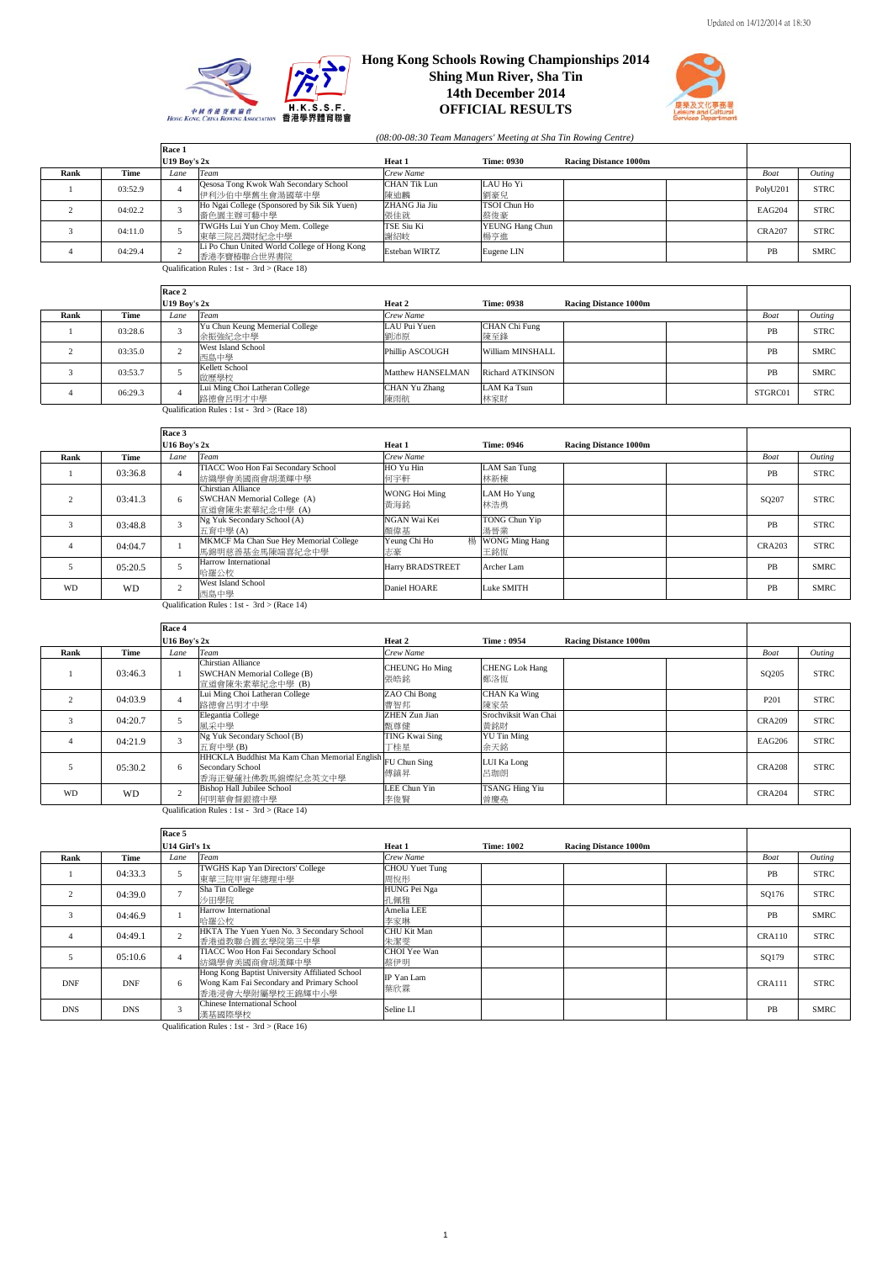



*(08:00-08:30 Team Managers' Meeting at Sha Tin Rowing Centre)*

|      |         | Race 1         |                                                                |                      |                        |                              |               |             |
|------|---------|----------------|----------------------------------------------------------------|----------------------|------------------------|------------------------------|---------------|-------------|
|      |         | U19 Bov's $2x$ |                                                                | Heat 1               | <b>Time: 0930</b>      | <b>Racing Distance 1000m</b> |               |             |
| Rank | Time    | Lane           | Team                                                           | Crew Name            |                        |                              | Boat          | Outing      |
|      | 03:52.9 |                | <b>Qesosa Tong Kwok Wah Secondary School</b><br>伊利沙伯中學舊生會湯國華中學 | CHAN Tik Lun<br>陳迪麟  | LAU Ho Yi<br>劉豪兒       |                              | PolyU201      | <b>STRC</b> |
|      | 04:02.2 |                | Ho Ngai College (Sponsored by Sik Sik Yuen)<br> 嗇色園主辦可藝中學      | ZHANG Jia Jiu<br>張佳就 | TSOI Chun Ho<br>蔡俊豪    |                              | EAG204        | <b>STRC</b> |
|      | 04:11.0 |                | TWGHs Lui Yun Choy Mem. College<br>東華三院呂潤財紀念中學                 | TSE Siu Ki<br>謝紹岐    | YEUNG Hang Chun<br>楊亨進 |                              | <b>CRA207</b> | <b>STRC</b> |
|      | 04:29.4 |                | Li Po Chun United World College of Hong Kong<br>香港李寶椿聯合世界書院    | <b>Esteban WIRTZ</b> | Eugene LIN             |                              | PB            | <b>SMRC</b> |

Qualification Rules :  $1st - 3rd > (Race 18)$ 

|      |         | Race 2         |                                               |                      |                         |                              |         |             |
|------|---------|----------------|-----------------------------------------------|----------------------|-------------------------|------------------------------|---------|-------------|
|      |         | U19 Boy's $2x$ |                                               | Heat 2               | <b>Time: 0938</b>       | <b>Racing Distance 1000m</b> |         |             |
| Rank | Time    | Lane           | Team                                          | Crew Name            |                         |                              | Boat    | Outing      |
|      | 03:28.6 |                | Yu Chun Keung Memerial College<br>余振強紀念中學     | LAU Pui Yuen<br>劉沛原  | CHAN Chi Fung<br>陳至鋒    |                              | PB      | <b>STRC</b> |
|      | 03:35.0 |                | West Island School<br>西島中學                    | Phillip ASCOUGH      | William MINSHALL        |                              | PB      | <b>SMRC</b> |
|      | 03:53.7 |                | Kellett School<br>啟歷學校                        | Matthew HANSELMAN    | <b>Richard ATKINSON</b> |                              | PB      | <b>SMRC</b> |
|      | 06:29.3 |                | Lui Ming Choi Latheran College<br>路德會呂明才中學    | CHAN Yu Zhang<br>陳雨航 | LAM Ka Tsun<br>林家財      |                              | STGRC01 | <b>STRC</b> |
|      |         |                | Qualification Rules : 1st - $3rd$ > (Race 18) |                      |                         |                              |         |             |

|           |         | Race 3           |                                                                      |                         |                              |                              |                   |             |
|-----------|---------|------------------|----------------------------------------------------------------------|-------------------------|------------------------------|------------------------------|-------------------|-------------|
|           |         | $U16$ Bov's $2x$ |                                                                      | Heat 1                  | <b>Time: 0946</b>            | <b>Racing Distance 1000m</b> |                   |             |
| Rank      | Time    | Lane             | Team                                                                 | Crew Name               |                              |                              | Boat              | Outing      |
|           | 03:36.8 |                  | TIACC Woo Hon Fai Secondary School<br>紡織學會美國商會胡漢輝中學                  | HO Yu Hin<br>何字軒        | LAM San Tung<br>林新棟          |                              | PB                | <b>STRC</b> |
|           | 03:41.3 | 6                | Chirstian Alliance<br>SWCHAN Memorial College (A)<br>宣道會陳朱素華紀念中學 (A) | WONG Hoi Ming<br>黄海銘    | LAM Ho Yung<br>林浩勇           |                              | SQ <sub>207</sub> | <b>STRC</b> |
|           | 03:48.8 | 3                | Ng Yuk Secondary School (A)<br>五育中學(A)                               | NGAN Wai Kei<br>顏偉基     | TONG Chun Yip<br>湯晉業         |                              | PB                | <b>STRC</b> |
|           | 04:04.7 |                  | MKMCF Ma Chan Sue Hey Memorial College<br>馬錦明慈善基金馬陳端喜紀念中學            | 樢<br>Yeung Chi Ho<br>志豪 | <b>WONG Ming Hang</b><br>王銘恆 |                              | <b>CRA203</b>     | <b>STRC</b> |
|           | 05:20.5 |                  | Harrow International<br>哈羅公校                                         | Harry BRADSTREET        | Archer Lam                   |                              | PB                | <b>SMRC</b> |
| <b>WD</b> | WD      | $\sim$           | <b>West Island School</b><br>西島中學                                    | Daniel HOARE            | Luke SMITH                   |                              | PB                | <b>SMRC</b> |

Qualification Rules : 1st - 3rd > (Race 14)

|                                               |           | Race 4           |                                                                                                                               |                              |                              |                              |               |             |
|-----------------------------------------------|-----------|------------------|-------------------------------------------------------------------------------------------------------------------------------|------------------------------|------------------------------|------------------------------|---------------|-------------|
|                                               |           | $U16$ Boy's $2x$ |                                                                                                                               | Heat 2                       | <b>Time: 0954</b>            | <b>Racing Distance 1000m</b> |               |             |
| Rank                                          | Time      | Lane             | <b>Team</b>                                                                                                                   | Crew Name                    |                              |                              | Boat          | Outing      |
|                                               | 03:46.3   |                  | Chirstian Alliance<br>SWCHAN Memorial College (B)<br>宣道會陳朱素華紀念中學 (B)                                                          | <b>CHEUNG Ho Ming</b><br>張皓銘 | <b>CHENG Lok Hang</b><br>鄭洛恆 |                              | SQ205         | <b>STRC</b> |
|                                               | 04:03.9   |                  | Lui Ming Choi Latheran College<br>路德會呂明才中學                                                                                    | ZAO Chi Bong<br>曹智邦          | <b>CHAN Ka Wing</b><br>陳家榮   |                              | P201          | <b>STRC</b> |
|                                               | 04:20.7   |                  | Elegantia College<br>風采中學                                                                                                     | <b>ZHEN Zun Jian</b><br>甄尊健  | Srochviksit Wan Chai<br>黄銘財  |                              | <b>CRA209</b> | <b>STRC</b> |
|                                               | 04:21.9   | 3                | Ng Yuk Secondary School (B)<br>五育中學(B)                                                                                        | TING Kwai Sing<br>丁桂星        | <b>YU Tin Ming</b><br>余天銘    |                              | EAG206        | <b>STRC</b> |
|                                               | 05:30.2   | 6                | $\frac{\text{Hz}}{\text{HHCKLA}}$ Buddhist Ma Kam Chan Memorial English FU Chun Sing<br>Secondary School<br>香海正覺蓮社佛教馬錦燦紀念英文中學 | 傅鎮昇                          | LUI Ka Long<br>呂珈朗           |                              | <b>CRA208</b> | <b>STRC</b> |
| <b>WD</b>                                     | <b>WD</b> | $\overline{2}$   | <b>Bishop Hall Jubilee School</b><br>何明華會督銀禧中學                                                                                | LEE Chun Yin<br>李俊賢          | <b>TSANG Hing Yiu</b><br>曾慶堯 |                              | <b>CRA204</b> | <b>STRC</b> |
| Qualification Rules : 1st - $3rd$ > (Race 14) |           |                  |                                                                                                                               |                              |                              |                              |               |             |

**Race 5 U14 Figure 1002** Racing Distance 1000m **Rank Time** *Lane Team Crew Name Crew Name Boat Outing*<br>
1 04:33.3 5 TWGHS Kap Yan Directors' College CHOU Yuet Tung **PR** STRC 東華三院甲寅年總理中學 Teat 1<br>*Crew Name*<br>CHOU Yuet Tung<br>周悅彤 周悅彤 PB STRC 2 04:39.0 7 Sha Tin College ----- ---- ---<br>沙田學院 HUNG Pei Nga<br>孔佩雅 <del>no.com/catalogue.com/catalogue.com/catalogue.com/catalogue.com/catalogue.com/catalogue.com/catalogue.com/catal<br>孔佩雅</del> 3 04:46.9 1 Harrow International<br>
4 04:49.1 2 HKTA The Yuen Yuen No. 3 Secondary School<br>  $\frac{\text{HKTA The Yuen Vuen No. 3 Secondary School}}{\text{K-M-MPL-ERRE-NER}}$ Amelia LEE<br>李家琳 PB SMRC<br>CHU Kit Man CHU Kit Man CHU Kit Man CHU Kit Man CHU Kit Man CHU Kit Man CHU Kit Man CHU Kit Man CHU Kit Man CH 香港道教聯合圓玄學院第三中學 朱潔雯 CRA110 STRC 5 05:10.6 4 TIACC Woo Hon Fai Secondary School<br>
Hong Kom Fai Secondary Affiliated School<br>
Hong Kom Fai Secondary and Primary School<br>
Wong Kam Fai Secondary and Primary School<br>
香港浸會大學附屬學校王錦輝中小學 ---- ---------<br>朱潔雯<br>蔡伊明 stor Technic Wall and Technic Wall and Technical Action of the SQ179 STRC<br>蔡伊明 DNF DNF 6 IP Yan Lam<br>葉欣霖 <u>. A contractive</u> creating the contraction of the creating of the creating of the creating of the creating of the creating of the creating of the creating of the creating of the creating of the creating of the creating of DNS DNS 3 Chinese International School<br>
2011 **DNS 3** Chinese International School<br>
2011 **DNS** Qualification Rules : 1st - 3rd > (Race 16)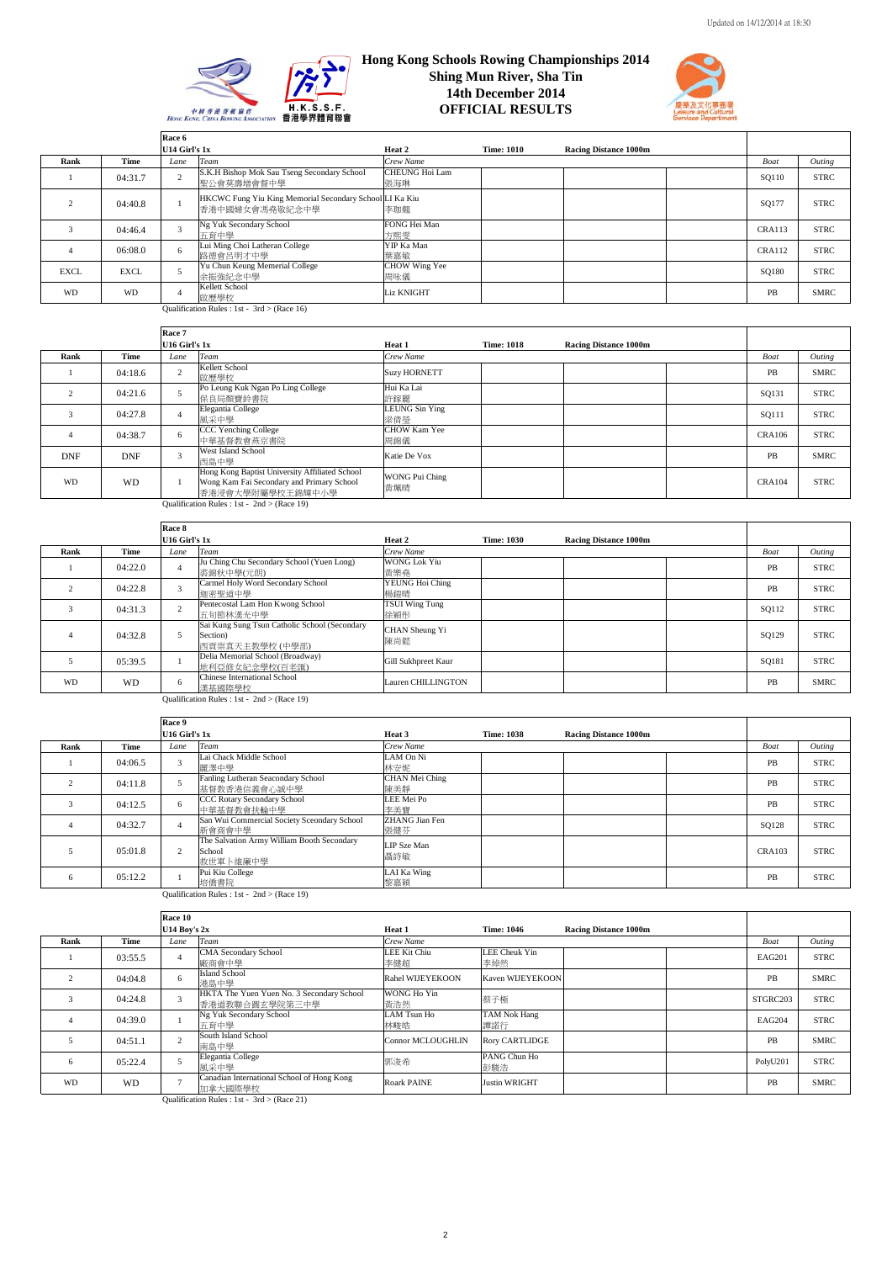



|             |             | Race 6        |                                                                           |                       |                   |                              |               |             |
|-------------|-------------|---------------|---------------------------------------------------------------------------|-----------------------|-------------------|------------------------------|---------------|-------------|
|             |             | U14 Girl's 1x |                                                                           | Heat 2                | <b>Time: 1010</b> | <b>Racing Distance 1000m</b> |               |             |
| Rank        | Time        | Lane          | Team                                                                      | Crew Name             |                   |                              | Boat          | Outing      |
|             | 04:31.7     |               | S.K.H Bishop Mok Sau Tseng Secondary School<br>聖公會莫壽增會督中學                 | CHEUNG Hoi Lam<br>張海琳 |                   |                              | SQ110         | <b>STRC</b> |
|             | 04:40.8     |               | HKCWC Fung Yiu King Memorial Secondary School LI Ka Kiu<br>香港中國婦女會馮堯敬紀念中學 | 李珈翹                   |                   |                              | SO177         | <b>STRC</b> |
|             | 04:46.4     |               | Ng Yuk Secondary School<br>五育中學                                           | FONG Hei Man<br>方熙零   |                   |                              | <b>CRA113</b> | <b>STRC</b> |
|             | 06:08.0     | 6             | Lui Ming Choi Latheran College<br>路德會呂明才中學                                | YIP Ka Man<br>葉嘉敏     |                   |                              | <b>CRA112</b> | <b>STRC</b> |
| <b>EXCL</b> | <b>EXCL</b> |               | Yu Chun Keung Memerial College<br>余振強紀念中學                                 | CHOW Wing Yee<br>周咏儀  |                   |                              | SQ180         | <b>STRC</b> |
| <b>WD</b>   | <b>WD</b>   |               | Kellett School<br>啟歷學校                                                    | <b>Liz KNIGHT</b>     |                   |                              | PB            | <b>SMRC</b> |

Qualification Rules : 1st -  $3rd$  > (Race 16)

|            |            | Race 7         |                                                                                                                 |                              |                   |                              |               |             |
|------------|------------|----------------|-----------------------------------------------------------------------------------------------------------------|------------------------------|-------------------|------------------------------|---------------|-------------|
|            |            | U16 Girl's 1x  |                                                                                                                 | Heat 1                       | <b>Time: 1018</b> | <b>Racing Distance 1000m</b> |               |             |
| Rank       | Time       | Lane           | Team                                                                                                            | Crew Name                    |                   |                              | Boat          | Outing      |
|            | 04:18.6    |                | Kellett School<br>啟歷學校                                                                                          | <b>Suzy HORNETT</b>          |                   |                              | PB            | <b>SMRC</b> |
|            | 04:21.6    |                | Po Leung Kuk Ngan Po Ling College<br>保良局顏寶鈴書院                                                                   | Hui Ka Lai<br>許鎵麗            |                   |                              | SQ131         | <b>STRC</b> |
| 3          | 04:27.8    |                | Elegantia College<br>風采中學                                                                                       | <b>LEUNG Sin Ying</b><br>梁倩瑩 |                   |                              | SO111         | <b>STRC</b> |
|            | 04:38.7    | 6              | CCC Yenching College<br>中華基督教會燕京書院                                                                              | CHOW Kam Yee<br>周錦儀          |                   |                              | <b>CRA106</b> | <b>STRC</b> |
| <b>DNF</b> | <b>DNF</b> | $\overline{ }$ | West Island School<br>西島中學                                                                                      | Katie De Vox                 |                   |                              | PB            | <b>SMRC</b> |
| <b>WD</b>  | <b>WD</b>  |                | Hong Kong Baptist University Affiliated School<br>Wong Kam Fai Secondary and Primary School<br>香港浸會大學附屬學校王錦輝中小學 | <b>WONG Pui Ching</b><br>黃珮晴 |                   |                              | <b>CRA104</b> | <b>STRC</b> |
|            |            |                | Qualification Rules : 1st - $2nd$ > (Race 19)                                                                   |                              |                   |                              |               |             |

|               |         | Race 8                  |                                                                              |                              |                   |                              |           |             |
|---------------|---------|-------------------------|------------------------------------------------------------------------------|------------------------------|-------------------|------------------------------|-----------|-------------|
|               |         | U16 Girl's 1x           |                                                                              | Heat 2                       | <b>Time: 1030</b> | <b>Racing Distance 1000m</b> |           |             |
| Rank          | Time    | Lane                    | <b>Team</b>                                                                  | Crew Name                    |                   |                              | Boat      | Outing      |
|               | 04:22.0 | Δ                       | Ju Ching Chu Secondary School (Yuen Long)<br>裘錦秋中學(元朗)                       | <b>WONG Lok Yiu</b><br>黃樂堯   |                   |                              | <b>PB</b> | <b>STRC</b> |
|               | 04:22.8 | $\overline{\mathbf{3}}$ | Carmel Holy Word Secondary School<br>迦密聖道中學                                  | YEUNG Hoi Ching<br>楊銷晴       |                   |                              | PB        | <b>STRC</b> |
| $\mathcal{R}$ | 04:31.3 |                         | Pentecostal Lam Hon Kwong School<br>五旬節林漢光中學                                 | <b>TSUI Wing Tung</b><br>徐穎彤 |                   |                              | SQ112     | <b>STRC</b> |
|               | 04:32.8 |                         | Sai Kung Sung Tsun Catholic School (Secondary<br>Section)<br>西貢崇真天主教學校 (中學部) | CHAN Sheung Yi<br>陳尚懿        |                   |                              | SQ129     | <b>STRC</b> |
|               | 05:39.5 |                         | Delia Memorial School (Broadway)<br>地利亞修女紀念學校(百老匯)                           | Gill Sukhpreet Kaur          |                   |                              | SQ181     | <b>STRC</b> |
| <b>WD</b>     | WD      | 6.                      | Chinese International School<br>漢基國際學校                                       | Lauren CHILLINGTON           |                   |                              | PB        | <b>SMRC</b> |

Qualification Rules : 1st - 2nd > (Race 19)

|      |             | Race 9        |                                                                  |                       |                   |                              |             |             |
|------|-------------|---------------|------------------------------------------------------------------|-----------------------|-------------------|------------------------------|-------------|-------------|
|      |             | U16 Girl's 1x |                                                                  | Heat 3                | <b>Time: 1038</b> | <b>Racing Distance 1000m</b> |             |             |
| Rank | <b>Time</b> | Lane          | Team                                                             | Crew Name             |                   |                              | <b>Boat</b> | Outing      |
|      | 04:06.5     | 3             | Lai Chack Middle School<br>麗澤中學                                  | LAM On Ni<br>林安妮      |                   |                              | PB          | <b>STRC</b> |
|      | 04:11.8     |               | Fanling Lutheran Seacondary School<br>基督教香港信義會心誠中學               | CHAN Mei Ching<br>陳美靜 |                   |                              | PB          | <b>STRC</b> |
| 3    | 04:12.5     | 6             | CCC Rotary Secondary School<br>中華基督教會扶輪中學                        | LEE Mei Po<br>李美寶     |                   |                              | PB          | <b>STRC</b> |
| 4    | 04:32.7     |               | San Wui Commercial Society Sceondary School<br>新會商會中學            | ZHANG Jian Fen<br>張健芬 |                   |                              | SQ128       | <b>STRC</b> |
|      | 05:01.8     | 2             | The Salvation Army William Booth Secondary<br>School<br>救世軍卜維廉中學 | LIP Sze Man<br>聶詩敏    |                   |                              | CRA103      | <b>STRC</b> |
| 6    | 05:12.2     |               | Pui Kiu College<br>培僑書院                                          | LAI Ka Wing<br>黎嘉穎    |                   |                              | PB          | STRC        |
|      |             |               | Qualification Rules : 1st - $2nd$ > (Race 19)                    |                       |                   |                              |             |             |

|              |         | Race 10          |                                                             |                            |                       |                              |          |             |
|--------------|---------|------------------|-------------------------------------------------------------|----------------------------|-----------------------|------------------------------|----------|-------------|
|              |         | $U14$ Boy's $2x$ |                                                             | Heat 1                     | <b>Time: 1046</b>     | <b>Racing Distance 1000m</b> |          |             |
| Rank         | Time    | Lane             | Team                                                        | Crew Name                  |                       |                              | Boat     | Outing      |
|              | 03:55.5 |                  | <b>CMA Secondary School</b><br>廠商會中學                        | <b>LEE Kit Chiu</b><br>李健超 | LEE Cheuk Yin<br>李焯然  |                              | EAG201   | <b>STRC</b> |
|              | 04:04.8 | 6                | <b>Island School</b><br>港島中學                                | Rahel WIJEYEKOON           | Kaven WIJEYEKOON      |                              | PB       | <b>SMRC</b> |
|              | 04:24.8 | 3                | HKTA The Yuen Yuen No. 3 Secondary School<br>香港道教聯合圓玄學院第三中學 | WONG Ho Yin<br>黄浩然         | 蔡子極                   |                              | STGRC203 | <b>STRC</b> |
|              | 04:39.0 |                  | Ng Yuk Secondary School<br>五育中學                             | LAM Tsun Ho<br>林畯皓         | TAM Nok Hang<br>譚諾行   |                              | EAG204   | <b>STRC</b> |
|              | 04:51.1 | $\overline{2}$   | South Island School<br>南島中學                                 | <b>Connor MCLOUGHLIN</b>   | <b>Rory CARTLIDGE</b> |                              | PB       | <b>SMRC</b> |
| <sup>6</sup> | 05:22.4 |                  | Elegantia College<br>風采中學                                   | 郭浚希                        | PANG Chun Ho<br>彭駿浩   |                              | PolyU201 | <b>STRC</b> |
| WD           | WD      | $\overline{a}$   | Canadian International School of Hong Kong<br>加拿大國際學校       | <b>Roark PAINE</b>         | <b>Justin WRIGHT</b>  |                              | PB       | <b>SMRC</b> |

Qualification Rules : 1st -  $3rd$  > (Race 21)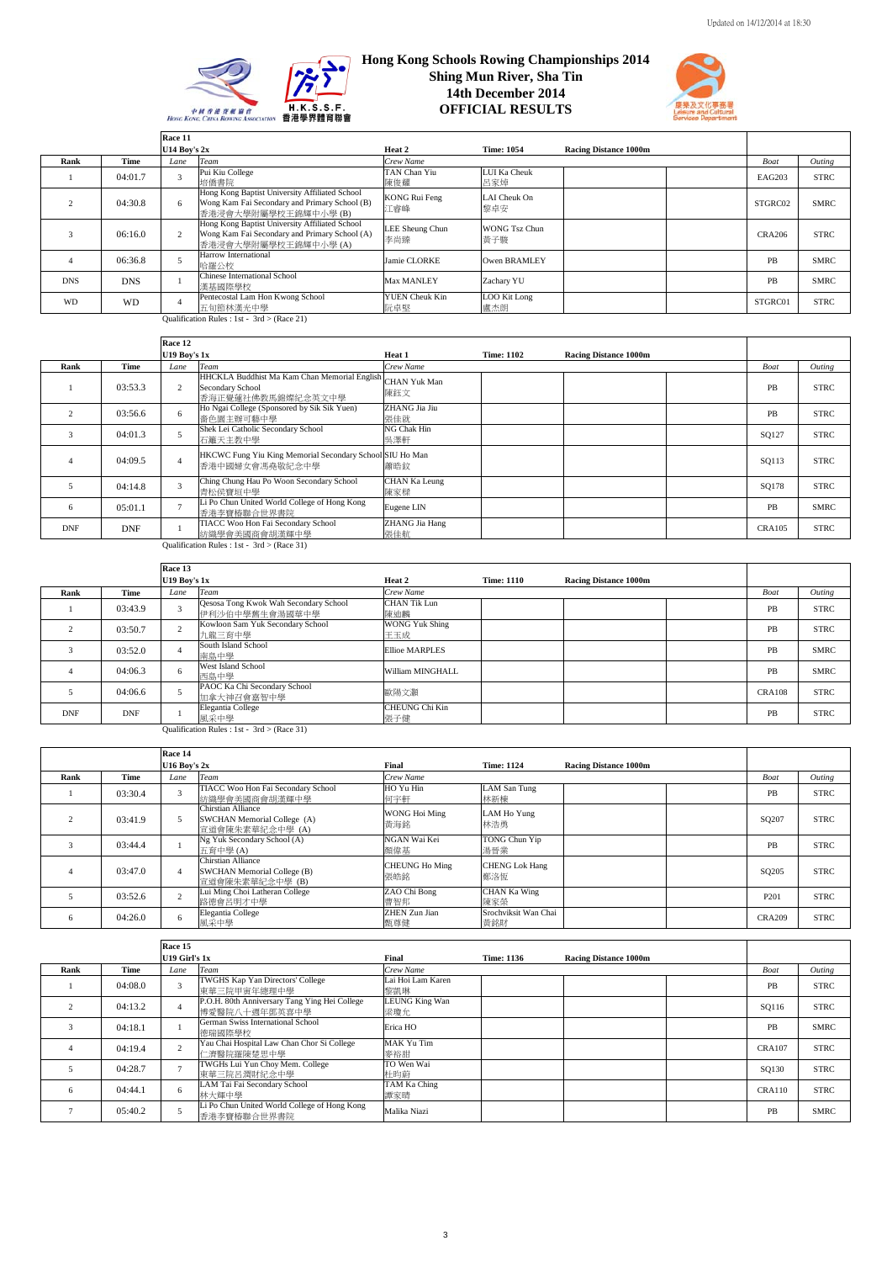



|            |            | Race 11          |                                                                                                                         |                              |                             |                              |               |             |
|------------|------------|------------------|-------------------------------------------------------------------------------------------------------------------------|------------------------------|-----------------------------|------------------------------|---------------|-------------|
|            |            | $U14$ Boy's $2x$ |                                                                                                                         | Heat 2                       | <b>Time: 1054</b>           | <b>Racing Distance 1000m</b> |               |             |
| Rank       | Time       | Lane             | Team                                                                                                                    | Crew Name                    |                             |                              | Boat          | Outing      |
|            | 04:01.7    |                  | Pui Kiu College                                                                                                         | TAN Chan Yiu                 | LUI Ka Cheuk                |                              | <b>EAG203</b> | <b>STRC</b> |
|            |            |                  | 培僑書院                                                                                                                    | 陳俊耀                          | 呂家焯                         |                              |               |             |
|            | 04:30.8    | 6                | Hong Kong Baptist University Affiliated School<br>Wong Kam Fai Secondary and Primary School (B)<br>香港浸會大學附屬學校王錦輝中小學 (B) | KONG Rui Feng<br>江睿峰         | LAI Cheuk On<br>黎卓安         |                              | STGRC02       | <b>SMRC</b> |
|            | 06:16.0    |                  | Hong Kong Baptist University Affiliated School<br>Wong Kam Fai Secondary and Primary School (A)<br>香港浸會大學附屬學校王錦輝中小學 (A) | LEE Sheung Chun<br>李尚臻       | <b>WONG Tsz Chun</b><br>黃子駿 |                              | <b>CRA206</b> | <b>STRC</b> |
|            | 06:36.8    |                  | Harrow International<br>哈羅公校                                                                                            | Jamie CLORKE                 | Owen BRAMLEY                |                              | PB            | <b>SMRC</b> |
| <b>DNS</b> | <b>DNS</b> |                  | Chinese International School<br>漢基國際學校                                                                                  | Max MANLEY                   | Zachary YU                  |                              | PB            | <b>SMRC</b> |
| <b>WD</b>  | WD         |                  | Pentecostal Lam Hon Kwong School<br>五旬節林漢光中學                                                                            | <b>YUEN Cheuk Kin</b><br>阮卓堅 | LOO Kit Long<br>盧杰朗         |                              | STGRC01       | <b>STRC</b> |
|            |            |                  | Qualification Rules : 1st - 3rd > (Race 21)                                                                             |                              |                             |                              |               |             |

|            |            | Race 12             |                                                                                                    |                              |                   |                              |               |             |
|------------|------------|---------------------|----------------------------------------------------------------------------------------------------|------------------------------|-------------------|------------------------------|---------------|-------------|
|            |            | <b>U19 Boy's 1x</b> |                                                                                                    | Heat 1                       | <b>Time: 1102</b> | <b>Racing Distance 1000m</b> |               |             |
| Rank       | Time       | Lane                | Team                                                                                               | Crew Name                    |                   |                              | Boat          | Outing      |
|            | 03:53.3    |                     | HHCKLA Buddhist Ma Kam Chan Memorial English CHAN Yuk Man<br>Secondary School<br>香海正覺蓮社佛教馬錦燦紀念英文中學 | 陳鈺文                          |                   |                              | PB            | <b>STRC</b> |
|            | 03:56.6    | 6                   | Ho Ngai College (Sponsored by Sik Sik Yuen)<br>嗇色園主辦可藝中學                                           | ZHANG Jia Jiu<br>張佳就         |                   |                              | PB            | <b>STRC</b> |
| 3          | 04:01.3    |                     | Shek Lei Catholic Secondary School<br>石籬天主教中學                                                      | NG Chak Hin<br>吳澤軒           |                   |                              | SQ127         | <b>STRC</b> |
|            | 04:09.5    |                     | HKCWC Fung Yiu King Memorial Secondary School SIU Ho Man<br>香港中國婦女會馮堯敬紀念中學                         | 蕭晧鈫                          |                   |                              | SQ113         | <b>STRC</b> |
|            | 04:14.8    |                     | Ching Chung Hau Po Woon Secondary School<br>青松侯寶垣中學                                                | CHAN Ka Leung<br>陳家樑         |                   |                              | SQ178         | <b>STRC</b> |
| 6          | 05:01.1    |                     | Li Po Chun United World College of Hong Kong<br>香港李寶椿聯合世界書院                                        | Eugene LIN                   |                   |                              | PB            | <b>SMRC</b> |
| <b>DNF</b> | <b>DNF</b> |                     | TIACC Woo Hon Fai Secondary School<br>纺織學會美國商會胡漢輝中學                                                | <b>ZHANG Jia Hang</b><br>張佳航 |                   |                              | <b>CRA105</b> | <b>STRC</b> |

Qualification Rules : 1st - 3rd > (Race 31)

|            |            | Race 13             |                                                                |                              |                   |                              |               |             |
|------------|------------|---------------------|----------------------------------------------------------------|------------------------------|-------------------|------------------------------|---------------|-------------|
|            |            | <b>U19 Boy's 1x</b> |                                                                | Heat 2                       | <b>Time: 1110</b> | <b>Racing Distance 1000m</b> |               |             |
| Rank       | Time       | Lane                | Team                                                           | Crew Name                    |                   |                              | Boat          | Outing      |
|            | 03:43.9    | 3                   | <b>Qesosa Tong Kwok Wah Secondary School</b><br>伊利沙伯中學舊生會湯國華中學 | <b>CHAN Tik Lun</b><br>陳迪麟   |                   |                              | PB            | <b>STRC</b> |
|            | 03:50.7    | $\sim$              | Kowloon Sam Yuk Secondary School<br>九龍三育中學                     | <b>WONG Yuk Shing</b><br>王玉成 |                   |                              | PB            | <b>STRC</b> |
|            | 03:52.0    |                     | South Island School<br>南島中學                                    | <b>Ellioe MARPLES</b>        |                   |                              | PB            | <b>SMRC</b> |
|            | 04:06.3    | 6                   | West Island School<br>西島中學                                     | William MINGHALL             |                   |                              | PB            | <b>SMRC</b> |
|            | 04:06.6    |                     | PAOC Ka Chi Secondary School<br>加拿大神召會嘉智中學                     | 歐陽文灝                         |                   |                              | <b>CRA108</b> | <b>STRC</b> |
| <b>DNF</b> | <b>DNF</b> |                     | Elegantia College<br>風采中學                                      | CHEUNG Chi Kin<br>張子健        |                   |                              | PB            | <b>STRC</b> |

Qualification Rules : 1st - 3rd > (Race 31)

|      |             | Race 14          |                                                                             |                              |                              |                              |                   |             |
|------|-------------|------------------|-----------------------------------------------------------------------------|------------------------------|------------------------------|------------------------------|-------------------|-------------|
|      |             | $U16$ Boy's $2x$ |                                                                             | Final                        | <b>Time: 1124</b>            | <b>Racing Distance 1000m</b> |                   |             |
| Rank | <b>Time</b> | Lane             | Team                                                                        | Crew Name                    |                              |                              | Boat              | Outing      |
|      | 03:30.4     |                  | TIACC Woo Hon Fai Secondary School<br>紡織學會美國商會胡漢輝中學                         | HO Yu Hin<br>何字軒             | <b>LAM San Tung</b><br>林新棟   |                              | PB                | <b>STRC</b> |
|      | 03:41.9     |                  | Chirstian Alliance<br>SWCHAN Memorial College (A)<br>官道會陳朱素華紀念中學 (A)        | WONG Hoi Ming<br>黄海銘         | LAM Ho Yung<br>林浩勇           |                              | SO <sub>207</sub> | <b>STRC</b> |
|      | 03:44.4     |                  | Ng Yuk Secondary School (A)<br>五育中學(A)                                      | NGAN Wai Kei<br>顏偉基          | TONG Chun Yip<br>湯晉業         |                              | <b>PB</b>         | <b>STRC</b> |
|      | 03:47.0     |                  | <b>Chirstian Alliance</b><br>SWCHAN Memorial College (B)<br>宣道會陳朱素華紀念中學 (B) | <b>CHEUNG Ho Ming</b><br>張皓銘 | <b>CHENG Lok Hang</b><br>鄭洛恆 |                              | SO <sub>205</sub> | <b>STRC</b> |
|      | 03:52.6     |                  | Lui Ming Choi Latheran College<br>路德會呂明才中學                                  | ZAO Chi Bong<br>曹智邦          | <b>CHAN Ka Wing</b><br>陳家榮   |                              | P201              | <b>STRC</b> |
| 6    | 04:26.0     | 6.               | Elegantia College<br>風采中學                                                   | <b>ZHEN Zun Jian</b><br>甄尊健  | Srochviksit Wan Chai<br>黃銘財  |                              | <b>CRA209</b>     | <b>STRC</b> |

|      |         | Race 15       |                                                                |                              |                   |                              |               |             |
|------|---------|---------------|----------------------------------------------------------------|------------------------------|-------------------|------------------------------|---------------|-------------|
|      |         | U19 Girl's 1x |                                                                | Final                        | <b>Time: 1136</b> | <b>Racing Distance 1000m</b> |               |             |
| Rank | Time    | Lane          | Team                                                           | Crew Name                    |                   |                              | Boat          | Outing      |
|      | 04:08.0 |               | TWGHS Kap Yan Directors' College<br>東華三院甲寅年總理中學                | Lai Hoi Lam Karen<br>黎凱琳     |                   |                              | PB            | <b>STRC</b> |
|      | 04:13.2 |               | P.O.H. 80th Anniversary Tang Ying Hei College<br>博愛醫院八十週年鄧英喜中學 | <b>LEUNG King Wan</b><br>梁瓊允 |                   |                              | SQ116         | <b>STRC</b> |
|      | 04:18.1 |               | German Swiss International School<br>德瑞國際學校                    | Erica HO                     |                   |                              | PB            | <b>SMRC</b> |
|      | 04:19.4 |               | Yau Chai Hospital Law Chan Chor Si College<br>仁濟醫院羅陳楚思中學       | MAK Yu Tim<br>麥裕甜            |                   |                              | <b>CRA107</b> | <b>STRC</b> |
|      | 04:28.7 |               | TWGHs Lui Yun Choy Mem. College<br>東華三院呂潤財紀念中學                 | TO Wen Wai<br>杜昀蔚            |                   |                              | SQ130         | <b>STRC</b> |
| 6    | 04:44.1 | 6             | LAM Tai Fai Secondary School<br>林大輝中學                          | TAM Ka Ching<br>譚家晴          |                   |                              | CRA110        | <b>STRC</b> |
|      | 05:40.2 |               | Li Po Chun United World College of Hong Kong<br>香港李寶椿聯合世界書院    | Malika Niazi                 |                   |                              | PB            | <b>SMRC</b> |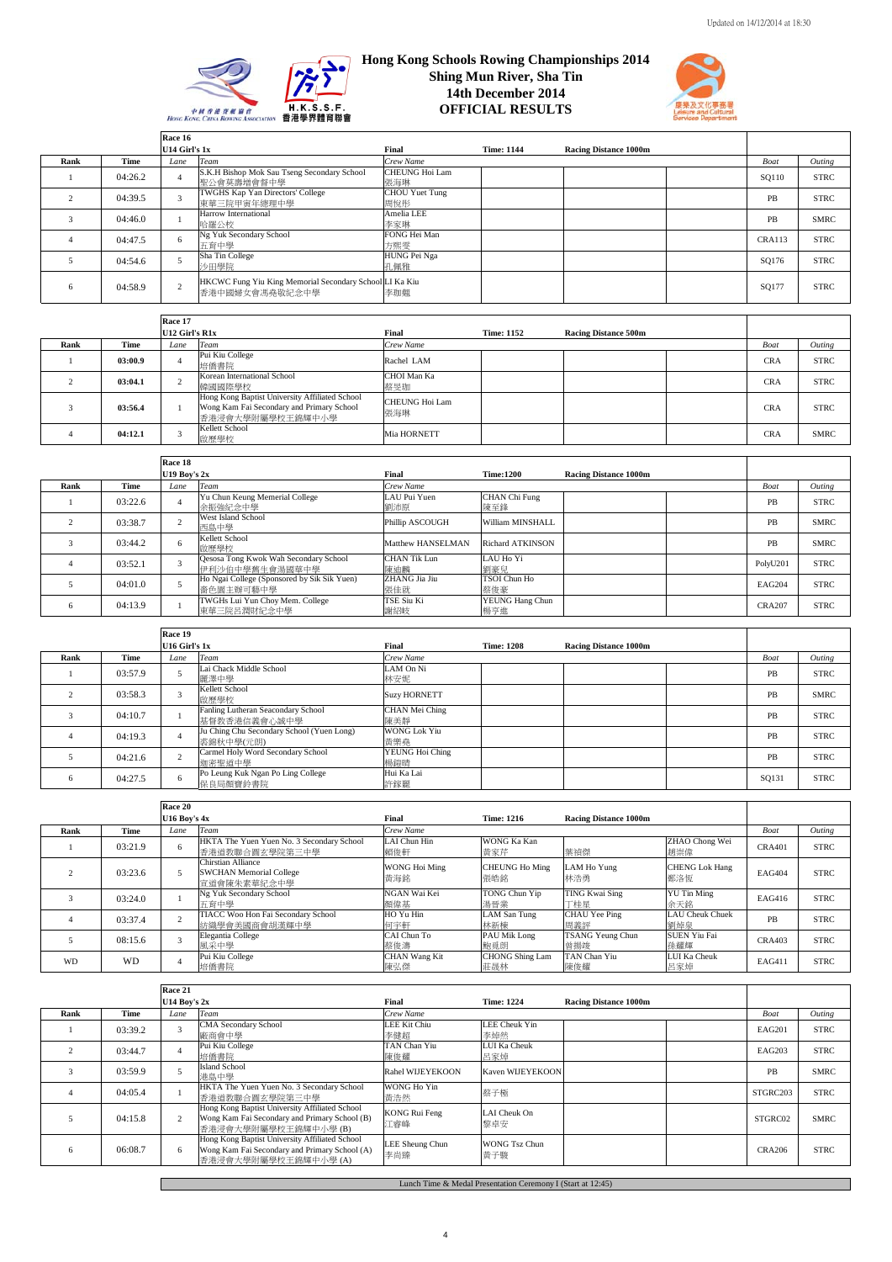

## **Hong Kong Schools Rowing Championships 2014 Shing Mun River, Sha Tin 14th December 2014 OFFICIAL RESULTS**



|                       |         | Race 16                 |                                                                           |                              |                   |                              |        |             |
|-----------------------|---------|-------------------------|---------------------------------------------------------------------------|------------------------------|-------------------|------------------------------|--------|-------------|
|                       |         | U14 Girl's 1x           |                                                                           | Final                        | <b>Time: 1144</b> | <b>Racing Distance 1000m</b> |        |             |
| Rank                  | Time    | Lane                    | Team                                                                      | Crew Name                    |                   |                              | Boat   | Outing      |
|                       | 04:26.2 |                         | S.K.H Bishop Mok Sau Tseng Secondary School<br>聖公會莫壽增會督中學                 | CHEUNG Hoi Lam<br>張海琳        |                   |                              | SQ110  | <b>STRC</b> |
|                       | 04:39.5 | $\overline{\mathbf{a}}$ | TWGHS Kap Yan Directors' College<br>東華三院甲寅年總理中學                           | <b>CHOU</b> Yuet Tung<br>周悅形 |                   |                              | PB     | <b>STRC</b> |
| 3                     | 04:46.0 |                         | Harrow International<br>哈羅公校                                              | Amelia LEE<br>李家琳            |                   |                              | PB     | <b>SMRC</b> |
| $\boldsymbol{\Delta}$ | 04:47.5 | 6                       | Ng Yuk Secondary School<br>五窗中學                                           | FONG Hei Man<br>方熙零          |                   |                              | CRA113 | <b>STRC</b> |
|                       | 04:54.6 |                         | Sha Tin College<br>沙田學院                                                   | HUNG Pei Nga<br>孔佩雅          |                   |                              | SQ176  | <b>STRC</b> |
| 6                     | 04:58.9 | $\mathcal{L}$           | HKCWC Fung Yiu King Memorial Secondary School LI Ka Kiu<br>香港中國婦女會馮堯敬紀念中學 | 李珈翹                          |                   |                              | SQ177  | <b>STRC</b> |
|                       |         | Race 17                 |                                                                           |                              |                   |                              |        |             |

|      |         | -------<br>U12 Girl's R1x |                                                                                                                 | Final                 | <b>Time: 1152</b> | <b>Racing Distance 500m</b> |            |             |
|------|---------|---------------------------|-----------------------------------------------------------------------------------------------------------------|-----------------------|-------------------|-----------------------------|------------|-------------|
| Rank | Time    | Lane                      | Team                                                                                                            | Crew Name             |                   |                             | Boat       | Outing      |
|      | 03:00.9 |                           | Pui Kiu College<br>培僑書院                                                                                         | Rachel LAM            |                   |                             | <b>CRA</b> | <b>STRC</b> |
|      | 03:04.1 |                           | Korean International School<br>韓國國際學校                                                                           | CHOI Man Ka<br>蔡旻珈    |                   |                             | <b>CRA</b> | <b>STRC</b> |
|      | 03:56.4 |                           | Hong Kong Baptist University Affiliated School<br>Wong Kam Fai Secondary and Primary School<br>香港浸會大學附屬學校王錦輝中小學 | CHEUNG Hoi Lam<br>張海琳 |                   |                             | <b>CRA</b> | <b>STRC</b> |
|      | 04:12.1 |                           | Kellett School<br>啟歷學校                                                                                          | Mia HORNETT           |                   |                             | <b>CRA</b> | <b>SMRC</b> |

|      |         | Race 18        |                                                          |                      |                         |                              |               |             |
|------|---------|----------------|----------------------------------------------------------|----------------------|-------------------------|------------------------------|---------------|-------------|
|      |         | U19 Boy's $2x$ |                                                          | Final                | <b>Time:1200</b>        | <b>Racing Distance 1000m</b> |               |             |
| Rank | Time    | Lane           | Team                                                     | Crew Name            |                         |                              | Boat          | Outing      |
|      | 03:22.6 |                | Yu Chun Keung Memerial College<br>余振強紀念中學                | LAU Pui Yuen<br>劉沛原  | CHAN Chi Fung<br>陳至鋒    |                              | PB            | <b>STRC</b> |
|      | 03:38.7 |                | West Island School<br>西島中學                               | Phillip ASCOUGH      | William MINSHALL        |                              | PB            | <b>SMRC</b> |
|      | 03:44.2 |                | Kellett School<br>啟歷學校                                   | Matthew HANSELMAN    | <b>Richard ATKINSON</b> |                              | PB            | <b>SMRC</b> |
|      | 03:52.1 |                | Qesosa Tong Kwok Wah Secondary School<br>伊利沙伯中學舊生會湯國華中學  | CHAN Tik Lun<br>陳油麟  | LAU Ho Yi<br>劉豪兒        |                              | PolyU201      | <b>STRC</b> |
|      | 04:01.0 |                | Ho Ngai College (Sponsored by Sik Sik Yuen)<br>嗇色園主辦可藝中學 | ZHANG Jia Jiu<br>張佳就 | TSOI Chun Ho<br>蔡俊豪     |                              | <b>EAG204</b> | <b>STRC</b> |
| 6    | 04:13.9 |                | TWGHs Lui Yun Choy Mem. College<br>東華三院呂潤財紀念中學           | TSE Siu Ki<br>謝紹岐    | YEUNG Hang Chun<br>楊亨進  |                              | <b>CRA207</b> | <b>STRC</b> |

|      |         | Race 19       |                                                        |                            |                   |                              |       |             |
|------|---------|---------------|--------------------------------------------------------|----------------------------|-------------------|------------------------------|-------|-------------|
|      |         | U16 Girl's 1x |                                                        | Final                      | <b>Time: 1208</b> | <b>Racing Distance 1000m</b> |       |             |
| Rank | Time    | Lane          | Team                                                   | Crew Name                  |                   |                              | Boat  | Outing      |
|      | 03:57.9 |               | Lai Chack Middle School<br>麗澤中學                        | LAM On Ni<br>林安妮           |                   |                              | PB    | <b>STRC</b> |
|      | 03:58.3 |               | Kellett School<br>啟歷學校                                 | <b>Suzy HORNETT</b>        |                   |                              | PB    | <b>SMRC</b> |
|      | 04:10.7 |               | Fanling Lutheran Seacondary School<br>基督教香港信義會心誠中學     | CHAN Mei Ching<br>陳美靜      |                   |                              | PB    | <b>STRC</b> |
|      | 04:19.3 |               | Ju Ching Chu Secondary School (Yuen Long)<br>裘錦秋中學(元朗) | <b>WONG Lok Yiu</b><br>黃樂堯 |                   |                              | PB    | <b>STRC</b> |
|      | 04:21.6 |               | Carmel Holy Word Secondary School<br>迦密聖道中學            | YEUNG Hoi Ching<br>楊銷晴     |                   |                              | PB    | <b>STRC</b> |
| 6    | 04:27.5 | 6             | Po Leung Kuk Ngan Po Ling College<br>保良局顏寶鈴書院          | Hui Ka Lai<br>許鎵麗          |                   |                              | SQ131 | <b>STRC</b> |

|           |           | Race 20             |                                                                     |                      |                               |                              |                               |               |             |
|-----------|-----------|---------------------|---------------------------------------------------------------------|----------------------|-------------------------------|------------------------------|-------------------------------|---------------|-------------|
|           |           | <b>U16 Boy's 4x</b> |                                                                     | Final                | <b>Time: 1216</b>             | <b>Racing Distance 1000m</b> |                               |               |             |
| Rank      | Time      | Lane                | Team                                                                | Crew Name            |                               |                              |                               | Boat          | Outing      |
|           | 03:21.9   | 6                   | HKTA The Yuen Yuen No. 3 Secondary School<br>香港道教聯合圓玄學院第三中學         | LAI Chun Hin<br>賴俊軒  | WONG Ka Kan<br>黄家芹            | 葉禎傑                          | ZHAO Chong Wei<br>趙崇偉         | <b>CRA401</b> | <b>STRC</b> |
|           | 03:23.6   |                     | Chirstian Alliance<br><b>SWCHAN Memorial College</b><br>宣道會陳朱素華紀念中學 | WONG Hoi Ming<br>黄海銘 | CHEUNG Ho Ming<br>張皓銘         | LAM Ho Yung<br>林浩勇           | <b>CHENG Lok Hang</b><br>鄭洛恆  | <b>EAG404</b> | <b>STRC</b> |
|           | 03:24.0   |                     | Ng Yuk Secondary School<br>五百中學                                     | NGAN Wai Kei<br>顏偉基  | TONG Chun Yip<br>湯晉業          | TING Kwai Sing<br>丁桂星        | <b>YU Tin Ming</b><br>余天銘     | EAG416        | <b>STRC</b> |
|           | 03:37.4   |                     | TIACC Woo Hon Fai Secondary School<br>紡織學會美國商會胡漢輝中學                 | HO Yu Hin<br>何字軒     | <b>LAM San Tung</b><br>林新棟    | CHAU Yee Ping<br>周義評         | <b>LAU</b> Cheuk Chuek<br>劉焯泉 | PB            | <b>STRC</b> |
|           | 08:15.6   |                     | Elegantia College<br>風采中學                                           | CAI Chun To<br>蔡俊濤   | PAU Mik Long<br>鮑覓朗           | TSANG Yeung Chun<br>曾揚竣      | <b>SUEN Yiu Fai</b><br>孫耀輝    | <b>CRA403</b> | <b>STRC</b> |
| <b>WD</b> | <b>WD</b> |                     | Pui Kiu College<br>培僑書院                                             | CHAN Wang Kit<br>陳弘傑 | <b>CHONG Shing Lam</b><br>莊晟林 | TAN Chan Yiu<br>陳俊耀          | LUI Ka Cheuk<br>呂家焯           | EAG411        | <b>STRC</b> |

|      |         | Race 21        |                                                                                                                         |                             |                             |                              |               |             |
|------|---------|----------------|-------------------------------------------------------------------------------------------------------------------------|-----------------------------|-----------------------------|------------------------------|---------------|-------------|
|      |         | U14 Boy's $2x$ |                                                                                                                         | Final                       | <b>Time: 1224</b>           | <b>Racing Distance 1000m</b> |               |             |
| Rank | Time    | Lane           | Team                                                                                                                    | Crew Name                   |                             |                              | Boat          | Outing      |
|      | 03:39.2 |                | <b>CMA Secondary School</b><br>廠商會中學                                                                                    | LEE Kit Chiu<br>李健超         | <b>LEE</b> Cheuk Yin<br>李焯然 |                              | <b>EAG201</b> | <b>STRC</b> |
|      | 03:44.7 |                | Pui Kiu College<br>培僑書院                                                                                                 | TAN Chan Yiu<br>陳俊耀         | LUI Ka Cheuk<br>呂家焯         |                              | <b>EAG203</b> | <b>STRC</b> |
|      | 03:59.9 |                | <b>Island School</b><br>港島中學                                                                                            | Rahel WIJEYEKOON            | Kaven WIJEYEKOON            |                              | PB            | <b>SMRC</b> |
|      | 04:05.4 |                | HKTA The Yuen Yuen No. 3 Secondary School<br>香港道教聯合圓玄學院第三中學                                                             | WONG Ho Yin<br>黃浩然          | 蔡子極                         |                              | STGRC203      | <b>STRC</b> |
|      | 04:15.8 |                | Hong Kong Baptist University Affiliated School<br>Wong Kam Fai Secondary and Primary School (B)<br>香港浸會大學附屬學校王錦輝中小學(B)  | <b>KONG Rui Feng</b><br>江睿峰 | LAI Cheuk On<br>黎卓安         |                              | STGRC02       | <b>SMRC</b> |
| 6    | 06:08.7 | 6.             | Hong Kong Baptist University Affiliated School<br>Wong Kam Fai Secondary and Primary School (A)<br>香港浸會大學附屬學校王錦輝中小學 (A) | LEE Sheung Chun<br>李尚臻      | <b>WONG Tsz Chun</b><br>黃子駿 |                              | <b>CRA206</b> | <b>STRC</b> |

Lunch Time & Medal Presentation Ceremony I (Start at 12:45)

Т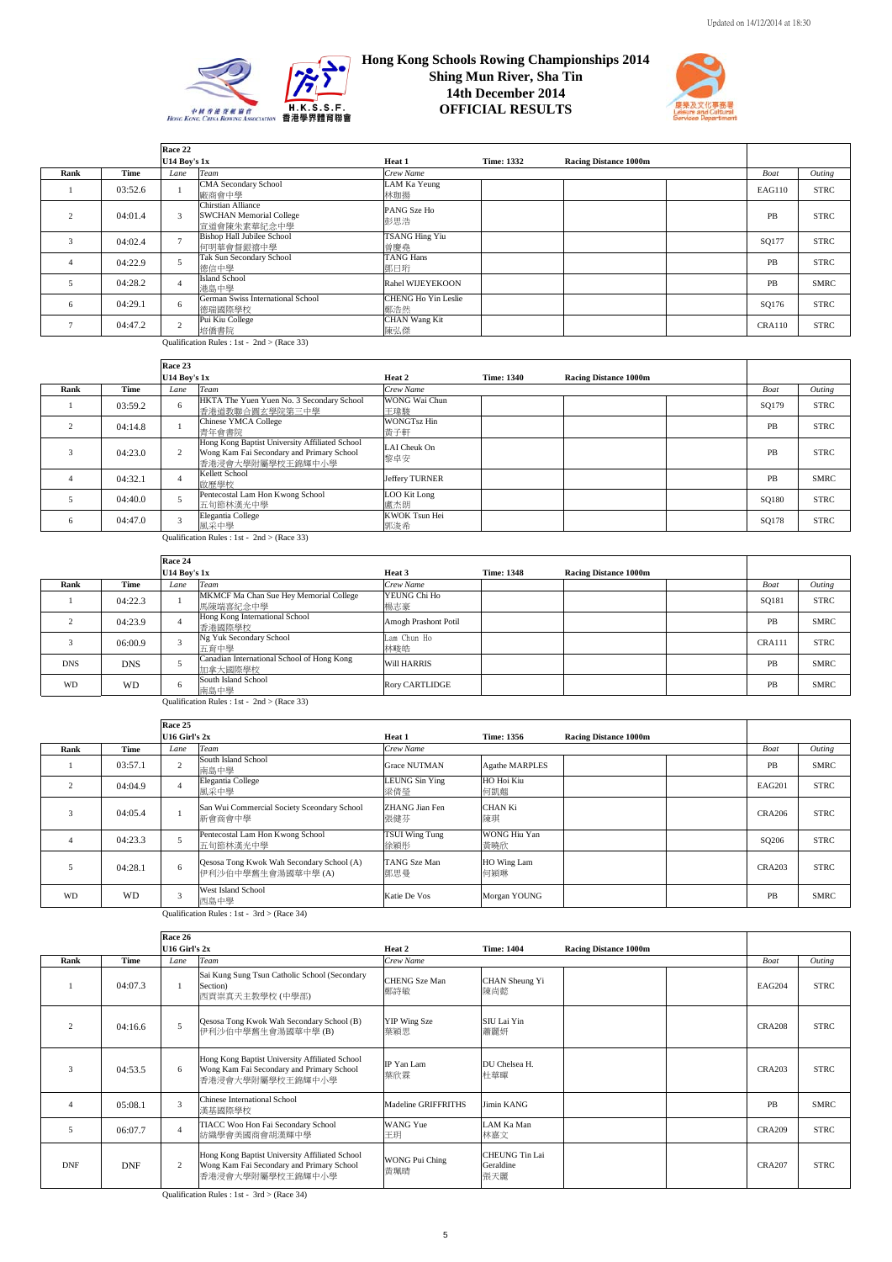



|      |         | Race 22             |                                                                            |                              |                   |                              |               |             |
|------|---------|---------------------|----------------------------------------------------------------------------|------------------------------|-------------------|------------------------------|---------------|-------------|
|      |         | <b>U14 Boy's 1x</b> |                                                                            | Heat 1                       | <b>Time: 1332</b> | <b>Racing Distance 1000m</b> |               |             |
| Rank | Time    | Lane                | <b>Team</b>                                                                | Crew Name                    |                   |                              | Boat          | Outing      |
|      | 03:52.6 |                     | CMA Secondary School<br>廠商會中學                                              | LAM Ka Yeung<br>林珈揚          |                   |                              | EAG110        | <b>STRC</b> |
|      | 04:01.4 | 3                   | <b>Chirstian Alliance</b><br><b>SWCHAN Memorial College</b><br>宣道會陳朱素華紀念中學 | PANG Sze Ho<br>彭思浩           |                   |                              | PB            | <b>STRC</b> |
|      | 04:02.4 |                     | <b>Bishop Hall Jubilee School</b><br>何明華會督銀禧中學                             | <b>TSANG Hing Yiu</b><br>曾慶堯 |                   |                              | SQ177         | <b>STRC</b> |
|      | 04:22.9 |                     | Tak Sun Secondary School<br>德信中學                                           | <b>TANG Hans</b><br>鄧日珩      |                   |                              | PB            | <b>STRC</b> |
|      | 04:28.2 |                     | <b>Island School</b><br>港島中學                                               | Rahel WIJEYEKOON             |                   |                              | PB            | SMRC        |
| 6    | 04:29.1 | 6                   | German Swiss International School<br>德瑞國際學校                                | CHENG Ho Yin Leslie<br>鄭浩然   |                   |                              | SQ176         | <b>STRC</b> |
|      | 04:47.2 | $\gamma$            | Pui Kiu College<br>培僑書院                                                    | <b>CHAN Wang Kit</b><br>陳弘傑  |                   |                              | <b>CRA110</b> | <b>STRC</b> |
|      |         |                     | Qualification Rules : 1st - $2nd$ > (Race 33)                              |                              |                   |                              |               |             |

|      |         | Race 23             |                                                                                                                 |                           |                   |                              |       |             |
|------|---------|---------------------|-----------------------------------------------------------------------------------------------------------------|---------------------------|-------------------|------------------------------|-------|-------------|
|      |         | <b>U14 Boy's 1x</b> |                                                                                                                 | Heat 2                    | <b>Time: 1340</b> | <b>Racing Distance 1000m</b> |       |             |
| Rank | Time    | Lane                | Team                                                                                                            | Crew Name                 |                   |                              | Boat  | Outing      |
|      | 03:59.2 | 6                   | HKTA The Yuen Yuen No. 3 Secondary School<br>香港道教聯合圓玄學院第三中學                                                     | WONG Wai Chun<br>王瑋駿      |                   |                              | SQ179 | <b>STRC</b> |
|      | 04:14.8 |                     | Chinese YMCA College<br>青年會書院                                                                                   | <b>WONGTsz Hin</b><br>黄子軒 |                   |                              | PB    | <b>STRC</b> |
|      | 04:23.0 |                     | Hong Kong Baptist University Affiliated School<br>Wong Kam Fai Secondary and Primary School<br>香港浸會大學附屬學校王錦輝中小學 | LAI Cheuk On<br>黎卓安       |                   |                              | PB    | <b>STRC</b> |
|      | 04:32.1 |                     | Kellett School<br>啟歷學校                                                                                          | Jeffery TURNER            |                   |                              | PB    | <b>SMRC</b> |
|      | 04:40.0 |                     | Pentecostal Lam Hon Kwong School<br>五旬節林漢光中學                                                                    | LOO Kit Long<br>盧杰朗       |                   |                              | SQ180 | <b>STRC</b> |
| 6    | 04:47.0 |                     | Elegantia College<br>風采中學                                                                                       | KWOK Tsun Hei<br>郭浚希      |                   |                              | SQ178 | <b>STRC</b> |

<u>– 原采中學</u><br>Qualification Rules : 1st - 2nd > (Race 33)

|            |            | Race 24             |                                                       |                       |                   |                              |               |             |
|------------|------------|---------------------|-------------------------------------------------------|-----------------------|-------------------|------------------------------|---------------|-------------|
|            |            | <b>U14 Boy's 1x</b> |                                                       | Heat 3                | <b>Time: 1348</b> | <b>Racing Distance 1000m</b> |               |             |
| Rank       | Time       | Lane                | Team                                                  | Crew Name             |                   |                              | Boat          | Outing      |
|            | 04:22.3    |                     | MKMCF Ma Chan Sue Hey Memorial College<br>馬陳端喜紀念中學    | YEUNG Chi Ho<br>楊志豪   |                   |                              | SQ181         | <b>STRC</b> |
|            | 04:23.9    |                     | Hong Kong International School<br>香港國際學校              | Amogh Prashont Potil  |                   |                              | PB            | <b>SMRC</b> |
|            | 06:00.9    |                     | Ng Yuk Secondary School<br>五育中學                       | Lam Chun Ho<br>林畯皓    |                   |                              | <b>CRA111</b> | <b>STRC</b> |
| <b>DNS</b> | <b>DNS</b> |                     | Canadian International School of Hong Kong<br>加拿大國際學校 | <b>Will HARRIS</b>    |                   |                              | PB            | <b>SMRC</b> |
| <b>WD</b>  | <b>WD</b>  |                     | South Island School<br>南島中學                           | <b>Rory CARTLIDGE</b> |                   |                              | PB            | <b>SMRC</b> |

Qualification Rules : 1st -  $2nd$  > (Race 33)

|           |         | Race 25           |                                                                 |                              |                      |                              |               |             |
|-----------|---------|-------------------|-----------------------------------------------------------------|------------------------------|----------------------|------------------------------|---------------|-------------|
|           |         | $U16$ Girl's $2x$ |                                                                 | Heat 1                       | <b>Time: 1356</b>    | <b>Racing Distance 1000m</b> |               |             |
| Rank      | Time    | Lane              | Team                                                            | Crew Name                    |                      |                              | Boat          | Outing      |
|           | 03:57.1 | $\overline{2}$    | South Island School<br>南島中學                                     | <b>Grace NUTMAN</b>          | Agathe MARPLES       |                              | PB            | <b>SMRC</b> |
|           | 04:04.9 |                   | Elegantia College<br>風采中學                                       | <b>LEUNG Sin Ying</b><br>梁倩瑩 | HO Hoi Kiu<br>何凱翹    |                              | <b>EAG201</b> | <b>STRC</b> |
| 3         | 04:05.4 |                   | San Wui Commercial Society Sceondary School<br>新會商會中學           | ZHANG Jian Fen<br>張健芬        | <b>CHAN Ki</b><br>陳琪 |                              | <b>CRA206</b> | <b>STRC</b> |
|           | 04:23.3 | 5                 | Pentecostal Lam Hon Kwong School<br>五旬節林漢光中學                    | TSUI Wing Tung<br>徐穎彤        | WONG Hiu Yan<br>黃曉欣  |                              | SQ206         | <b>STRC</b> |
| 5         | 04:28.1 | 6                 | Qesosa Tong Kwok Wah Secondary School (A)<br>伊利沙伯中學舊生會湯國華中學 (A) | TANG Sze Man<br>鄧思曼          | HO Wing Lam<br>何穎琳   |                              | <b>CRA203</b> | <b>STRC</b> |
| <b>WD</b> | WD      | 3                 | West Island School<br>西島中學                                      | Katie De Vos                 | Morgan YOUNG         |                              | PB            | <b>SMRC</b> |
|           |         |                   | Qualification Rules : 1st - $3rd$ > (Race 34)                   |                              |                      |                              |               |             |

|                |            | Race 26           |                                                                                                                 |                              |                                    |                              |               |             |
|----------------|------------|-------------------|-----------------------------------------------------------------------------------------------------------------|------------------------------|------------------------------------|------------------------------|---------------|-------------|
|                |            | $U16$ Girl's $2x$ |                                                                                                                 | Heat 2                       | <b>Time: 1404</b>                  | <b>Racing Distance 1000m</b> |               |             |
| Rank           | Time       | Lane              | <b>Team</b>                                                                                                     | Crew Name                    |                                    |                              | <b>Boat</b>   | Outing      |
|                | 04:07.3    |                   | Sai Kung Sung Tsun Catholic School (Secondary<br>Section)<br>西貢崇真天主教學校 (中學部)                                    | <b>CHENG</b> Sze Man<br>鄭詩敏  | CHAN Sheung Yi<br>陳尚懿              |                              | EAG204        | <b>STRC</b> |
| $\overline{2}$ | 04:16.6    | 5                 | Qesosa Tong Kwok Wah Secondary School (B)<br>伊利沙伯中學舊生會湯國華中學 (B)                                                 | YIP Wing Sze<br>葉穎思          | SIU Lai Yin<br>蕭麗妍                 |                              | <b>CRA208</b> | <b>STRC</b> |
| 3              | 04:53.5    | 6                 | Hong Kong Baptist University Affiliated School<br>Wong Kam Fai Secondary and Primary School<br>香港浸會大學附屬學校王錦輝中小學 | IP Yan Lam<br>葉欣霖            | DU Chelsea H.<br>杜華暉               |                              | <b>CRA203</b> | <b>STRC</b> |
| $\overline{4}$ | 05:08.1    |                   | Chinese International School<br>漢基國際學校                                                                          | Madeline GRIFFRITHS          | Jimin KANG                         |                              | PB            | <b>SMRC</b> |
| 5              | 06:07.7    |                   | TIACC Woo Hon Fai Secondary School<br>紡織學會美國商會胡漢輝中學                                                             | WANG Yue<br>王玥               | LAM Ka Man<br>林嘉文                  |                              | <b>CRA209</b> | <b>STRC</b> |
| <b>DNF</b>     | <b>DNF</b> | 2                 | Hong Kong Baptist University Affiliated School<br>Wong Kam Fai Secondary and Primary School<br>香港浸會大學附屬學校王錦輝中小學 | <b>WONG Pui Ching</b><br>黃珮晴 | CHEUNG Tin Lai<br>Geraldine<br>張天麗 |                              | <b>CRA207</b> | <b>STRC</b> |

5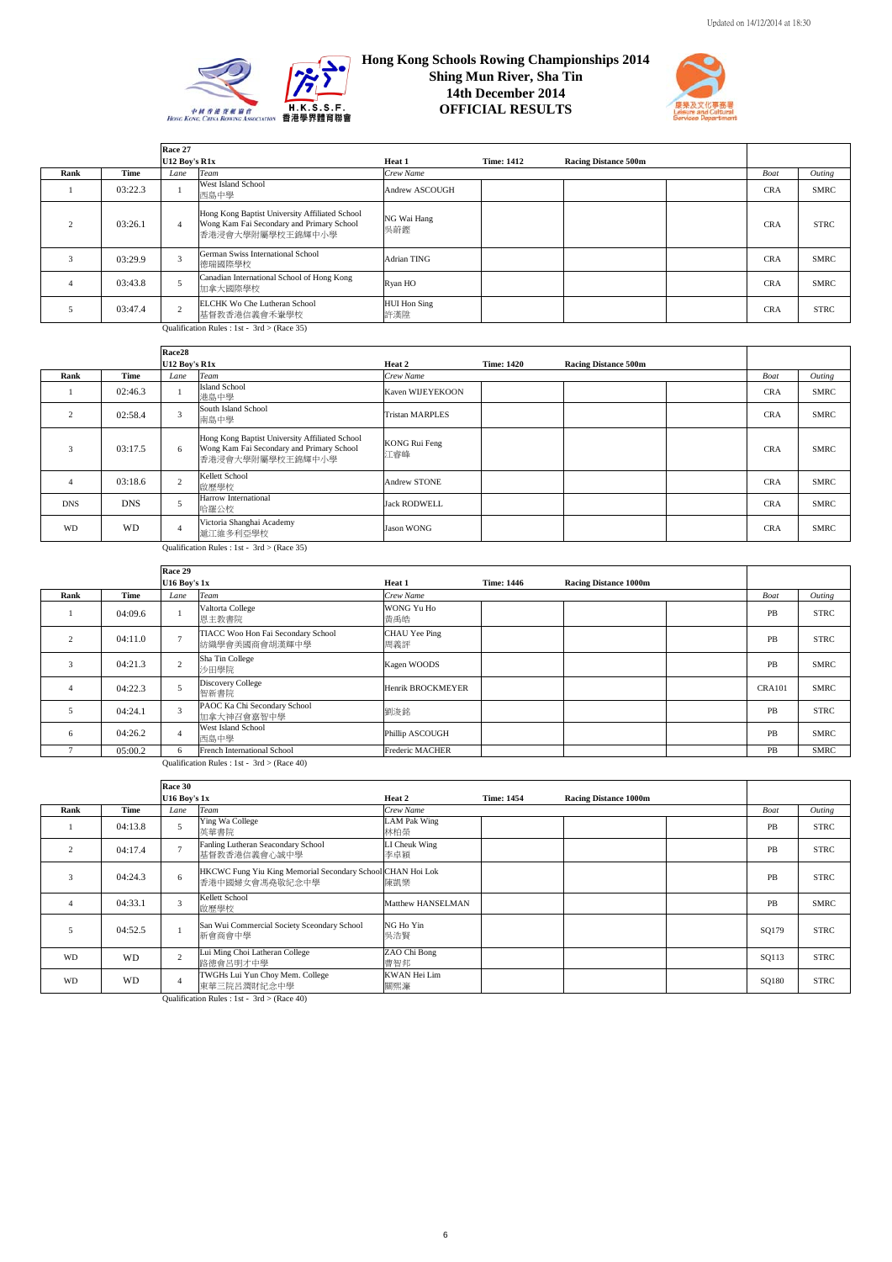



|      |         | Race 27       |                                                                                                                 |                     |                   |                             |            |             |
|------|---------|---------------|-----------------------------------------------------------------------------------------------------------------|---------------------|-------------------|-----------------------------|------------|-------------|
|      |         | U12 Boy's R1x |                                                                                                                 | Heat 1              | <b>Time: 1412</b> | <b>Racing Distance 500m</b> |            |             |
| Rank | Time    | Lane          | Team                                                                                                            | Crew Name           |                   |                             | Boat       | Outing      |
|      | 03:22.3 |               | West Island School<br>西島中學                                                                                      | Andrew ASCOUGH      |                   |                             | <b>CRA</b> | <b>SMRC</b> |
|      | 03:26.1 |               | Hong Kong Baptist University Affiliated School<br>Wong Kam Fai Secondary and Primary School<br>香港浸會大學附屬學校王錦輝中小學 | NG Wai Hang<br>吳蔚鏗  |                   |                             | <b>CRA</b> | <b>STRC</b> |
|      | 03:29.9 |               | German Swiss International School<br>德瑞國際學校                                                                     | Adrian TING         |                   |                             | <b>CRA</b> | <b>SMRC</b> |
|      | 03:43.8 |               | Canadian International School of Hong Kong<br>加拿大國際學校                                                           | Ryan HO             |                   |                             | <b>CRA</b> | <b>SMRC</b> |
|      | 03:47.4 |               | ELCHK Wo Che Lutheran School<br>基督教香港信義會禾輋學校                                                                    | HUI Hon Sing<br>許漢陞 |                   |                             | <b>CRA</b> | <b>STRC</b> |
|      |         |               | $Q_{\text{total}}(B_{\text{total}})$ $Q_{\text{total}}(B_{\text{total}})$                                       |                     |                   |                             |            |             |

Qualification Rules : 1st - 3rd > (Race 35)

|                                             |            | Race28        |                                                                                                                 |                        |                   |                             |            |             |
|---------------------------------------------|------------|---------------|-----------------------------------------------------------------------------------------------------------------|------------------------|-------------------|-----------------------------|------------|-------------|
|                                             |            | U12 Boy's R1x |                                                                                                                 | Heat 2                 | <b>Time: 1420</b> | <b>Racing Distance 500m</b> |            |             |
| Rank                                        | Time       | Lane          | Team                                                                                                            | Crew Name              |                   |                             | Boat       | Outing      |
|                                             | 02:46.3    |               | <b>Island School</b><br>港島中學                                                                                    | Kaven WIJEYEKOON       |                   |                             | <b>CRA</b> | <b>SMRC</b> |
| $\overline{2}$                              | 02:58.4    | 3             | South Island School<br>南島中學                                                                                     | <b>Tristan MARPLES</b> |                   |                             | <b>CRA</b> | <b>SMRC</b> |
| 3                                           | 03:17.5    | 6             | Hong Kong Baptist University Affiliated School<br>Wong Kam Fai Secondary and Primary School<br>香港浸會大學附屬學校王錦輝中小學 | KONG Rui Feng<br>江睿峰   |                   |                             | <b>CRA</b> | <b>SMRC</b> |
| $\overline{4}$                              | 03:18.6    | $\sim$        | Kellett School<br>啟歷學校                                                                                          | Andrew STONE           |                   |                             | <b>CRA</b> | <b>SMRC</b> |
| <b>DNS</b>                                  | <b>DNS</b> |               | Harrow International<br>哈羅公校                                                                                    | <b>Jack RODWELL</b>    |                   |                             | <b>CRA</b> | <b>SMRC</b> |
| <b>WD</b>                                   | WD         |               | Victoria Shanghai Academy<br>滬江維多利亞學校                                                                           | <b>Jason WONG</b>      |                   |                             | <b>CRA</b> | <b>SMRC</b> |
| Qualification Rules : 1st - 3rd > (Race 35) |            |               |                                                                                                                 |                        |                   |                             |            |             |

|      |         | Race 29             |                                                     |                      |                   |                              |               |             |
|------|---------|---------------------|-----------------------------------------------------|----------------------|-------------------|------------------------------|---------------|-------------|
|      |         | <b>U16 Boy's 1x</b> |                                                     | Heat 1               | <b>Time: 1446</b> | <b>Racing Distance 1000m</b> |               |             |
| Rank | Time    | Lane                | Team                                                | Crew Name            |                   |                              | <b>Boat</b>   | Outing      |
|      | 04:09.6 |                     | Valtorta College<br>恩主教書院                           | WONG Yu Ho<br>黄禹皓    |                   |                              | PB            | <b>STRC</b> |
| 2    | 04:11.0 | $\overline{ }$      | TIACC Woo Hon Fai Secondary School<br>纺織學會美國商會胡漢輝中學 | CHAU Yee Ping<br>周義評 |                   |                              | PB            | <b>STRC</b> |
| 3    | 04:21.3 | 2                   | Sha Tin College<br>沙田學院                             | Kagen WOODS          |                   |                              | PB            | <b>SMRC</b> |
|      | 04:22.3 | 5                   | Discovery College<br>智新書院                           | Henrik BROCKMEYER    |                   |                              | <b>CRA101</b> | <b>SMRC</b> |
| 5    | 04:24.1 | 3                   | PAOC Ka Chi Secondary School<br>加拿大神召會嘉智中學          | 劉浚銘                  |                   |                              | PB            | <b>STRC</b> |
| 6    | 04:26.2 | $\mathbf{A}$        | West Island School<br>西島中學                          | Phillip ASCOUGH      |                   |                              | PB            | <b>SMRC</b> |
|      | 05:00.2 | 6                   | French International School                         | Frederic MACHER      |                   |                              | PB            | <b>SMRC</b> |

Qualification Rules : 1st -  $3rd$  > (Race 40)

|                |         | Race 30             |                                                                              |                      |                   |                              |       |             |
|----------------|---------|---------------------|------------------------------------------------------------------------------|----------------------|-------------------|------------------------------|-------|-------------|
|                |         | <b>U16 Boy's 1x</b> |                                                                              | Heat 2               | <b>Time: 1454</b> | <b>Racing Distance 1000m</b> |       |             |
| Rank           | Time    | Lane                | Team                                                                         | Crew Name            |                   |                              | Boat  | Outing      |
|                | 04:13.8 | 5                   | Ying Wa College<br>英華書院                                                      | LAM Pak Wing<br>林柏榮  |                   |                              | PB    | <b>STRC</b> |
| $\overline{2}$ | 04:17.4 | $\overline{ }$      | Fanling Lutheran Seacondary School<br>基督教香港信義會心誠中學                           | LI Cheuk Wing<br>李卓穎 |                   |                              | PB    | <b>STRC</b> |
|                | 04:24.3 | 6                   | HKCWC Fung Yiu King Memorial Secondary School CHAN Hoi Lok<br>香港中國婦女會馮堯敬紀念中學 | 陳凱樂                  |                   |                              | PB    | <b>STRC</b> |
|                | 04:33.1 | 3                   | Kellett School<br>啟歷學校                                                       | Matthew HANSELMAN    |                   |                              | PB    | <b>SMRC</b> |
| 5              | 04:52.5 |                     | San Wui Commercial Society Sceondary School<br>新會商會中學                        | NG Ho Yin<br>吳浩賢     |                   |                              | SQ179 | <b>STRC</b> |
| <b>WD</b>      | WD      | $\overline{2}$      | Lui Ming Choi Latheran College<br>路德會呂明才中學                                   | ZAO Chi Bong<br>曹智邦  |                   |                              | SQ113 | <b>STRC</b> |
| <b>WD</b>      | WD      | $\overline{4}$      | TWGHs Lui Yun Choy Mem. College<br>東華三院呂潤財紀念中學                               | KWAN Hei Lim<br>關熙濂  |                   |                              | SQ180 | <b>STRC</b> |

Qualification Rules : 1st - 3rd > (Race 40)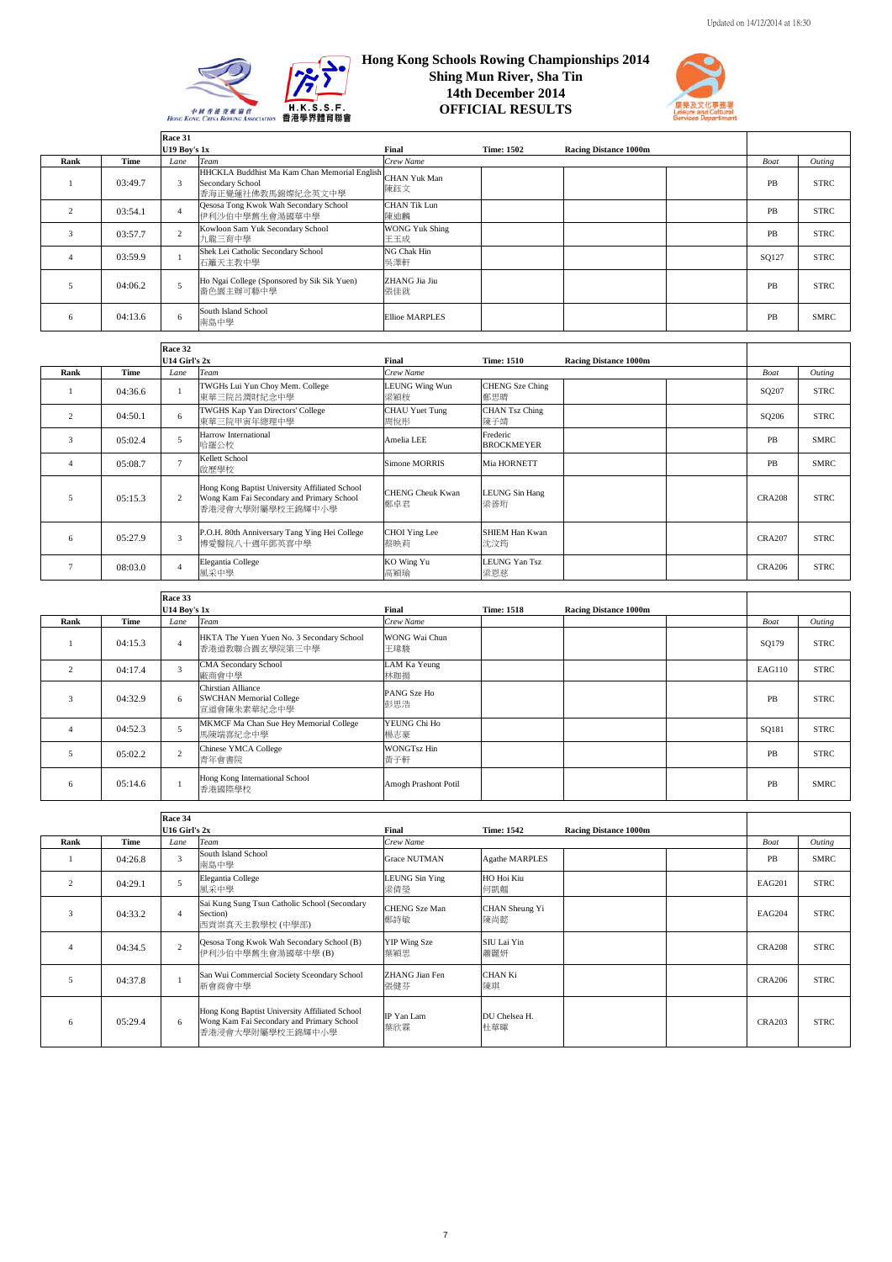



|      |         | Race 31             |                                                                                                    |                              |                   |                              |       |             |
|------|---------|---------------------|----------------------------------------------------------------------------------------------------|------------------------------|-------------------|------------------------------|-------|-------------|
|      |         | <b>U19 Boy's 1x</b> |                                                                                                    | Final                        | <b>Time: 1502</b> | <b>Racing Distance 1000m</b> |       |             |
| Rank | Time    | Lane                | Team                                                                                               | Crew Name                    |                   |                              | Boat  | Outing      |
|      | 03:49.7 | $\mathcal{R}$       | HHCKLA Buddhist Ma Kam Chan Memorial English CHAN Yuk Man<br>Secondary School<br>香海正覺蓮社佛教馬錦燦紀念英文中學 | 陳鈺文                          |                   |                              | PB    | <b>STRC</b> |
|      | 03:54.1 |                     | Qesosa Tong Kwok Wah Secondary School<br>伊利沙伯中學舊生會湯國華中學                                            | <b>CHAN Tik Lun</b><br>陳迪麟   |                   |                              | PB    | <b>STRC</b> |
| 3    | 03:57.7 | $\sim$              | Kowloon Sam Yuk Secondary School<br>九龍三育中學                                                         | <b>WONG Yuk Shing</b><br>王玉成 |                   |                              | PB    | <b>STRC</b> |
| 4    | 03:59.9 |                     | Shek Lei Catholic Secondary School<br>石籬天主教中學                                                      | NG Chak Hin<br>吳澤軒           |                   |                              | SQ127 | <b>STRC</b> |
|      | 04:06.2 |                     | Ho Ngai College (Sponsored by Sik Sik Yuen)<br>嗇色園主辦可藝中學                                           | ZHANG Jia Jiu<br>張佳就         |                   |                              | PB    | <b>STRC</b> |
| 6    | 04:13.6 | 6                   | South Island School<br>南島中學                                                                        | <b>Ellioe MARPLES</b>        |                   |                              | PB    | <b>SMRC</b> |

|      |         | Race 32        |                                                                                                                 |                                |                               |                              |               |             |
|------|---------|----------------|-----------------------------------------------------------------------------------------------------------------|--------------------------------|-------------------------------|------------------------------|---------------|-------------|
|      |         | U14 Girl's 2x  |                                                                                                                 | Final                          | <b>Time: 1510</b>             | <b>Racing Distance 1000m</b> |               |             |
| Rank | Time    | Lane           | Team                                                                                                            | Crew Name                      |                               |                              | Boat          | Outing      |
|      | 04:36.6 |                | TWGHs Lui Yun Choy Mem. College<br>東華三院呂潤財紀念中學                                                                  | <b>LEUNG Wing Wun</b><br>梁穎桉   | CHENG Sze Ching<br>鄭思晴        |                              | SQ207         | <b>STRC</b> |
|      | 04:50.1 | 6              | TWGHS Kap Yan Directors' College<br>東華三院甲寅年總理中學                                                                 | CHAU Yuet Tung<br>周悅彤          | <b>CHAN Tsz Ching</b><br>陳子靖  |                              | SQ206         | <b>STRC</b> |
| 3    | 05:02.4 | 5              | Harrow International<br>哈羅公校                                                                                    | Amelia LEE                     | Frederic<br><b>BROCKMEYER</b> |                              | PB            | <b>SMRC</b> |
|      | 05:08.7 | $\overline{a}$ | Kellett School<br>啟歷學校                                                                                          | Simone MORRIS                  | Mia HORNETT                   |                              | PB            | <b>SMRC</b> |
|      | 05:15.3 | 2              | Hong Kong Baptist University Affiliated School<br>Wong Kam Fai Secondary and Primary School<br>香港浸會大學附屬學校王錦輝中小學 | <b>CHENG Cheuk Kwan</b><br>鄭卓君 | LEUNG Sin Hang<br>梁善珩         |                              | <b>CRA208</b> | <b>STRC</b> |
| 6    | 05:27.9 | 3              | P.O.H. 80th Anniversary Tang Ying Hei College<br>博愛醫院八十週年鄧英喜中學                                                  | CHOI Ying Lee<br>蔡映莉           | <b>SHIEM Han Kwan</b><br>沈汶筠  |                              | <b>CRA207</b> | <b>STRC</b> |
|      | 08:03.0 | 4              | Elegantia College<br>風采中學                                                                                       | KO Wing Yu<br>高穎瑜              | <b>LEUNG Yan Tsz</b><br>梁恩慈   |                              | <b>CRA206</b> | <b>STRC</b> |

|      |         | Race 33             |                                                                     |                           |                   |                              |        |             |
|------|---------|---------------------|---------------------------------------------------------------------|---------------------------|-------------------|------------------------------|--------|-------------|
|      |         | <b>U14 Boy's 1x</b> |                                                                     | Final                     | <b>Time: 1518</b> | <b>Racing Distance 1000m</b> |        |             |
| Rank | Time    | Lane                | Team                                                                | Crew Name                 |                   |                              | Boat   | Outing      |
|      | 04:15.3 |                     | HKTA The Yuen Yuen No. 3 Secondary School<br>香港道教聯合圓玄學院第三中學         | WONG Wai Chun<br>王瑋駿      |                   |                              | SQ179  | <b>STRC</b> |
|      | 04:17.4 |                     | <b>CMA Secondary School</b><br>廠商會中學                                | LAM Ka Yeung<br>林珈揚       |                   |                              | EAG110 | <b>STRC</b> |
|      | 04:32.9 | 6                   | Chirstian Alliance<br><b>SWCHAN Memorial College</b><br>宣道會陳朱素華紀念中學 | PANG Sze Ho<br>彭思浩        |                   |                              | PB     | <b>STRC</b> |
|      | 04:52.3 |                     | MKMCF Ma Chan Sue Hey Memorial College<br>馬陳端喜紀念中學                  | YEUNG Chi Ho<br>楊志豪       |                   |                              | SQ181  | <b>STRC</b> |
|      | 05:02.2 | $\sim$              | Chinese YMCA College<br>青年會書院                                       | <b>WONGTsz Hin</b><br>黄子軒 |                   |                              | PB     | <b>STRC</b> |
| 6    | 05:14.6 |                     | Hong Kong International School<br>香港國際學校                            | Amogh Prashont Potil      |                   |                              | PB     | <b>SMRC</b> |

|      |             | Race 34           |                                                                                                                 |                             |                       |                              |               |             |
|------|-------------|-------------------|-----------------------------------------------------------------------------------------------------------------|-----------------------------|-----------------------|------------------------------|---------------|-------------|
|      |             | $U16$ Girl's $2x$ |                                                                                                                 | Final                       | <b>Time: 1542</b>     | <b>Racing Distance 1000m</b> |               |             |
| Rank | <b>Time</b> | Lane              | Team                                                                                                            | Crew Name                   |                       |                              | Boat          | Outing      |
|      | 04:26.8     | $\mathbf{3}$      | South Island School<br>南島中學                                                                                     | <b>Grace NUTMAN</b>         | <b>Agathe MARPLES</b> |                              | PB            | <b>SMRC</b> |
| 2    | 04:29.1     |                   | Elegantia College<br>風采中學                                                                                       | LEUNG Sin Ying<br>梁倩瑩       | HO Hoi Kiu<br>何凱翹     |                              | EAG201        | <b>STRC</b> |
| 3    | 04:33.2     |                   | Sai Kung Sung Tsun Catholic School (Secondary<br>Section)<br>西貢崇真天主教學校 (中學部)                                    | <b>CHENG</b> Sze Man<br>鄭詩敏 | CHAN Sheung Yi<br>陳尚懿 |                              | EAG204        | <b>STRC</b> |
|      | 04:34.5     | 2                 | Qesosa Tong Kwok Wah Secondary School (B)<br>伊利沙伯中學舊生會湯國華中學 (B)                                                 | YIP Wing Sze<br>葉穎思         | SIU Lai Yin<br>蕭麗妍    |                              | <b>CRA208</b> | <b>STRC</b> |
|      | 04:37.8     |                   | San Wui Commercial Society Sceondary School<br>新會商會中學                                                           | ZHANG Jian Fen<br>張健芬       | CHAN Ki<br>陳琪         |                              | <b>CRA206</b> | <b>STRC</b> |
| 6    | 05:29.4     | 6                 | Hong Kong Baptist University Affiliated School<br>Wong Kam Fai Secondary and Primary School<br>香港浸會大學附屬學校王錦輝中小學 | IP Yan Lam<br>葉欣霖           | DU Chelsea H.<br>杜華暉  |                              | <b>CRA203</b> | <b>STRC</b> |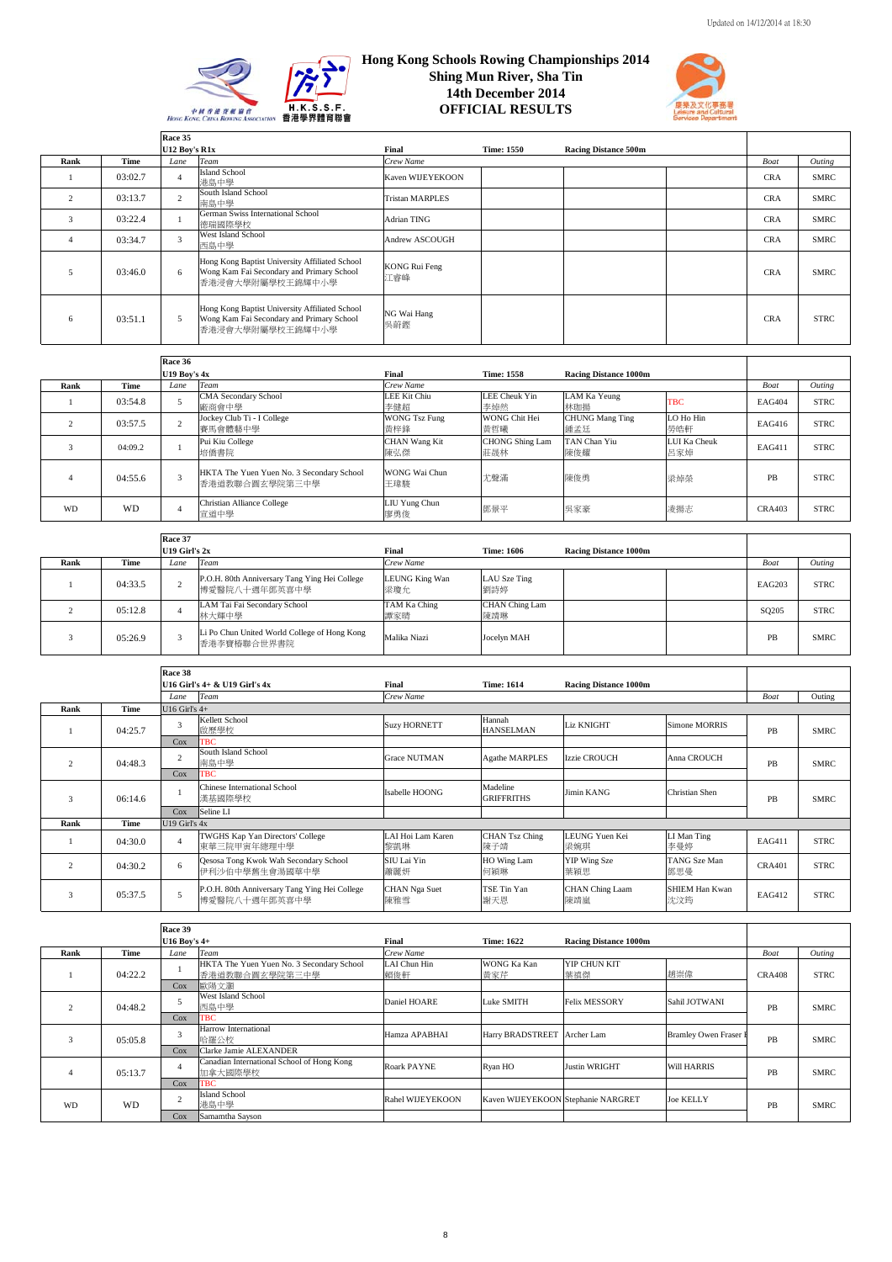



|      |         | Race 35        |                                                                                                                 |                             |                   |                             |             |             |
|------|---------|----------------|-----------------------------------------------------------------------------------------------------------------|-----------------------------|-------------------|-----------------------------|-------------|-------------|
|      |         | U12 Boy's R1x  |                                                                                                                 | Final                       | <b>Time: 1550</b> | <b>Racing Distance 500m</b> |             |             |
| Rank | Time    | Lane           | <b>Team</b>                                                                                                     | Crew Name                   |                   |                             | <b>Boat</b> | Outing      |
|      | 03:02.7 |                | <b>Island School</b><br>港島中學                                                                                    | Kaven WIJEYEKOON            |                   |                             | <b>CRA</b>  | <b>SMRC</b> |
|      | 03:13.7 | $\overline{c}$ | South Island School<br>南島中學                                                                                     | <b>Tristan MARPLES</b>      |                   |                             | <b>CRA</b>  | <b>SMRC</b> |
| 3    | 03:22.4 |                | German Swiss International School<br>德瑞國際學校                                                                     | Adrian TING                 |                   |                             | <b>CRA</b>  | <b>SMRC</b> |
|      | 03:34.7 | 3              | West Island School<br>西島中學                                                                                      | Andrew ASCOUGH              |                   |                             | <b>CRA</b>  | <b>SMRC</b> |
|      | 03:46.0 | 6              | Hong Kong Baptist University Affiliated School<br>Wong Kam Fai Secondary and Primary School<br>香港浸會大學附屬學校王錦輝中小學 | <b>KONG Rui Feng</b><br>江睿峰 |                   |                             | <b>CRA</b>  | <b>SMRC</b> |
| 6    | 03:51.1 | 5              | Hong Kong Baptist University Affiliated School<br>Wong Kam Fai Secondary and Primary School<br>香港浸會大學附屬學校王錦輝中小學 | NG Wai Hang<br>吳蔚鏗          |                   |                             | <b>CRA</b>  | <b>STRC</b> |

|           |           | Race 36             |                                                             |                             |                               |                               |                     |               |             |
|-----------|-----------|---------------------|-------------------------------------------------------------|-----------------------------|-------------------------------|-------------------------------|---------------------|---------------|-------------|
|           |           | <b>U19 Boy's 4x</b> |                                                             | Final                       | <b>Time: 1558</b>             | <b>Racing Distance 1000m</b>  |                     |               |             |
| Rank      | Time      | Lane                | Team                                                        | Crew Name                   |                               |                               |                     | Boat          | Outing      |
|           | 03:54.8   |                     | <b>CMA Secondary School</b><br>廠商會中學                        | LEE Kit Chiu<br>李健超         | LEE Cheuk Yin<br>李焯然          | LAM Ka Yeung<br>林珈揚           | <b>TBC</b>          | <b>EAG404</b> | <b>STRC</b> |
|           | 03:57.5   |                     | Jockey Club Ti - I College<br>賽馬會體藝中學                       | <b>WONG Tsz Fung</b><br>黃梓鋒 | WONG Chit Hei<br>黃哲曦          | <b>CHUNG Mang Ting</b><br>鍾孟廷 | LO Ho Hin<br>勞皓軒    | EAG416        | <b>STRC</b> |
|           | 04:09.2   |                     | Pui Kiu College<br>培僑書院                                     | <b>CHAN Wang Kit</b><br>陳弘傑 | <b>CHONG Shing Lam</b><br>莊晟林 | TAN Chan Yiu<br>陳俊耀           | LUI Ka Cheuk<br>呂家焯 | EAG411        | <b>STRC</b> |
|           | 04:55.6   |                     | HKTA The Yuen Yuen No. 3 Secondary School<br>香港道教聯合圓玄學院第三中學 | WONG Wai Chun<br>王瑋駿        | 尤聲滿                           | 陳俊勇                           | 梁焯榮                 | PB            | <b>STRC</b> |
| <b>WD</b> | <b>WD</b> |                     | Christian Alliance College<br>宣道中學                          | LIU Yung Chun<br>廖勇俊        | 鄧景平                           | 吳家豪                           | 凌揚志                 | <b>CRA403</b> | <b>STRC</b> |

|      |         | Race 37       |                                                                |                       |                              |                              |                   |             |
|------|---------|---------------|----------------------------------------------------------------|-----------------------|------------------------------|------------------------------|-------------------|-------------|
|      |         | U19 Girl's 2x |                                                                | Final                 | <b>Time: 1606</b>            | <b>Racing Distance 1000m</b> |                   |             |
| Rank | Time    | Lane          | Team                                                           | Crew Name             |                              |                              | Boat              | Outing      |
|      | 04:33.5 |               | P.O.H. 80th Anniversary Tang Ying Hei College<br>博愛醫院八十週年鄧英喜中學 | LEUNG King Wan<br>梁瓊允 | LAU Sze Ting<br>劉詩婷          |                              | EAG203            | <b>STRC</b> |
|      | 05:12.8 |               | LAM Tai Fai Secondary School<br>林大輝中學                          | TAM Ka Ching<br>譚家晴   | <b>CHAN</b> Ching Lam<br>陳靖琳 |                              | SQ <sub>205</sub> | <b>STRC</b> |
|      | 05:26.9 |               | Li Po Chun United World College of Hong Kong<br>香港李寶椿聯合世界書院    | Malika Niazi          | Jocelyn MAH                  |                              | PB                | <b>SMRC</b> |

|                |         | Race 38         |                                                                |                             |                               |                              |                              |               |             |
|----------------|---------|-----------------|----------------------------------------------------------------|-----------------------------|-------------------------------|------------------------------|------------------------------|---------------|-------------|
|                |         |                 | U16 Girl's 4+ & U19 Girl's 4x                                  | Final                       | <b>Time: 1614</b>             | <b>Racing Distance 1000m</b> |                              |               |             |
|                |         | Lane            | Team                                                           | Crew Name                   |                               |                              |                              | Boat          | Outing      |
| Rank           | Time    | U16 Girl's $4+$ |                                                                |                             |                               |                              |                              |               |             |
|                | 04:25.7 | 3               | Kellett School<br>啟歷學校                                         | <b>Suzy HORNETT</b>         | Hannah<br><b>HANSELMAN</b>    | <b>Liz KNIGHT</b>            | Simone MORRIS                | PB            | <b>SMRC</b> |
|                |         | Cox             | <b>TBC</b>                                                     |                             |                               |                              |                              |               |             |
| $\mathcal{P}$  | 04:48.3 | 2               | South Island School<br>南島中學                                    | <b>Grace NUTMAN</b>         | <b>Agathe MARPLES</b>         | Izzie CROUCH                 | Anna CROUCH                  | PB            | <b>SMRC</b> |
|                |         | Cox             | <b>TBC</b>                                                     |                             |                               |                              |                              |               |             |
|                | 06:14.6 |                 | Chinese International School<br>漢基國際學校                         | Isabelle HOONG              | Madeline<br><b>GRIFFRITHS</b> | Jimin KANG                   | Christian Shen               | PB            | <b>SMRC</b> |
|                |         | Cox             | Seline LI                                                      |                             |                               |                              |                              |               |             |
| Rank           | Time    | U19 Girl's 4x   |                                                                |                             |                               |                              |                              |               |             |
|                | 04:30.0 |                 | TWGHS Kap Yan Directors' College<br>東華三院甲寅年總理中學                | LAI Hoi Lam Karen<br>黎凱琳    | <b>CHAN Tsz Ching</b><br>陳子靖  | LEUNG Yuen Kei<br>梁婉琪        | LI Man Ting<br>李曼婷           | EAG411        | <b>STRC</b> |
| $\overline{c}$ | 04:30.2 | 6               | Qesosa Tong Kwok Wah Secondary School<br>伊利沙伯中學舊生會湯國華中學        | SIU Lai Yin<br>蕭麗妍          | HO Wing Lam<br>何穎琳            | YIP Wing Sze<br>葉穎思          | TANG Sze Man<br>鄧思曼          | <b>CRA401</b> | <b>STRC</b> |
| 3              | 05:37.5 |                 | P.O.H. 80th Anniversary Tang Ying Hei College<br>博愛醫院八十週年鄧英喜中學 | <b>CHAN</b> Nga Suet<br>陳雅雪 | TSE Tin Yan<br>謝天恩            | CHAN Ching Laam<br>陳靖嵐       | <b>SHIEM Han Kwan</b><br>沈汶筠 | EAG412        | <b>STRC</b> |

|           |             | Race 39          |                                                             |                     |                                    |                              |                              |               |             |
|-----------|-------------|------------------|-------------------------------------------------------------|---------------------|------------------------------------|------------------------------|------------------------------|---------------|-------------|
|           |             | $U16$ Boy's $4+$ |                                                             | Final               | <b>Time: 1622</b>                  | <b>Racing Distance 1000m</b> |                              |               |             |
| Rank      | <b>Time</b> | Lane             | Team                                                        | Crew Name           |                                    |                              |                              | <b>Boat</b>   | Outing      |
|           | 04:22.2     |                  | HKTA The Yuen Yuen No. 3 Secondary School<br>香港道教聯合圓玄學院第三中學 | LAI Chun Hin<br>賴俊軒 | WONG Ka Kan<br>黄家芹                 | YIP CHUN KIT<br>葉禛傑          | 趙崇偉                          | <b>CRA408</b> | <b>STRC</b> |
|           |             | Cox              | 歐陽文灝                                                        |                     |                                    |                              |                              |               |             |
|           | 04:48.2     |                  | West Island School<br>西島中學                                  | Daniel HOARE        | Luke SMITH                         | <b>Felix MESSORY</b>         | Sahil JOTWANI                | PB            | <b>SMRC</b> |
|           |             | Cox              | <b>TBC</b>                                                  |                     |                                    |                              |                              |               |             |
|           | 05:05.8     | $\mathbf{R}$     | Harrow International<br>哈羅公校                                | Hamza APABHAI       | Harry BRADSTREET   Archer Lam      |                              | <b>Bramley Owen Fraser I</b> | <b>PB</b>     | <b>SMRC</b> |
|           |             | Cox              | Clarke Jamie ALEXANDER                                      |                     |                                    |                              |                              |               |             |
|           | 05:13.7     |                  | Canadian International School of Hong Kong<br>加拿大國際學校       | <b>Roark PAYNE</b>  | Ryan HO                            | <b>Justin WRIGHT</b>         | <b>Will HARRIS</b>           | PB            | <b>SMRC</b> |
|           |             | Cox              | <b>TBC</b>                                                  |                     |                                    |                              |                              |               |             |
| <b>WD</b> | <b>WD</b>   | $\sim$           | <b>Island School</b><br>港島中學                                | Rahel WIJEYEKOON    | Kaven WIJEYEKOON Stephanie NARGRET |                              | <b>Joe KELLY</b>             | PB            | <b>SMRC</b> |
|           |             |                  | Cox                                                         | Samamtha Sayson     |                                    |                              |                              |               |             |